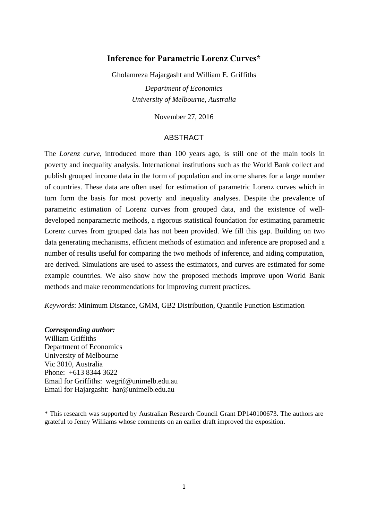# **Inference for Parametric Lorenz Curves\***

Gholamreza Hajargasht and William E. Griffiths

*Department of Economics University of Melbourne, Australia* 

November 27, 2016

### ABSTRACT

The *Lorenz curve,* introduced more than 100 years ago, is still one of the main tools in poverty and inequality analysis. International institutions such as the World Bank collect and publish grouped income data in the form of population and income shares for a large number of countries. These data are often used for estimation of parametric Lorenz curves which in turn form the basis for most poverty and inequality analyses. Despite the prevalence of parametric estimation of Lorenz curves from grouped data, and the existence of welldeveloped nonparametric methods, a rigorous statistical foundation for estimating parametric Lorenz curves from grouped data has not been provided. We fill this gap. Building on two data generating mechanisms, efficient methods of estimation and inference are proposed and a number of results useful for comparing the two methods of inference, and aiding computation, are derived. Simulations are used to assess the estimators, and curves are estimated for some example countries. We also show how the proposed methods improve upon World Bank methods and make recommendations for improving current practices.

*Keywords*: Minimum Distance, GMM, GB2 Distribution, Quantile Function Estimation

### *Corresponding author:*

William Griffiths Department of Economics University of Melbourne Vic 3010, Australia Phone: +613 8344 3622 Email for Griffiths: wegrif@unimelb.edu.au Email for Hajargasht: har@unimelb.edu.au

\* This research was supported by Australian Research Council Grant DP140100673. The authors are grateful to Jenny Williams whose comments on an earlier draft improved the exposition.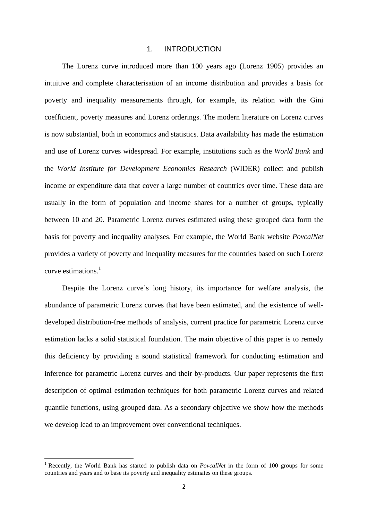#### 1. INTRODUCTION

 The Lorenz curve introduced more than 100 years ago (Lorenz 1905) provides an intuitive and complete characterisation of an income distribution and provides a basis for poverty and inequality measurements through, for example, its relation with the Gini coefficient, poverty measures and Lorenz orderings. The modern literature on Lorenz curves is now substantial, both in economics and statistics. Data availability has made the estimation and use of Lorenz curves widespread. For example, institutions such as the *World Bank* and the *World Institute for Development Economics Research* (WIDER) collect and publish income or expenditure data that cover a large number of countries over time. These data are usually in the form of population and income shares for a number of groups, typically between 10 and 20. Parametric Lorenz curves estimated using these grouped data form the basis for poverty and inequality analyses. For example, the World Bank website *PovcalNet* provides a variety of poverty and inequality measures for the countries based on such Lorenz curve estimations. $<sup>1</sup>$ </sup>

 Despite the Lorenz curve's long history, its importance for welfare analysis, the abundance of parametric Lorenz curves that have been estimated, and the existence of welldeveloped distribution-free methods of analysis, current practice for parametric Lorenz curve estimation lacks a solid statistical foundation. The main objective of this paper is to remedy this deficiency by providing a sound statistical framework for conducting estimation and inference for parametric Lorenz curves and their by-products. Our paper represents the first description of optimal estimation techniques for both parametric Lorenz curves and related quantile functions, using grouped data. As a secondary objective we show how the methods we develop lead to an improvement over conventional techniques.

<sup>&</sup>lt;sup>1</sup> Recently, the World Bank has started to publish data on *PovcalNet* in the form of 100 groups for some countries and years and to base its poverty and inequality estimates on these groups.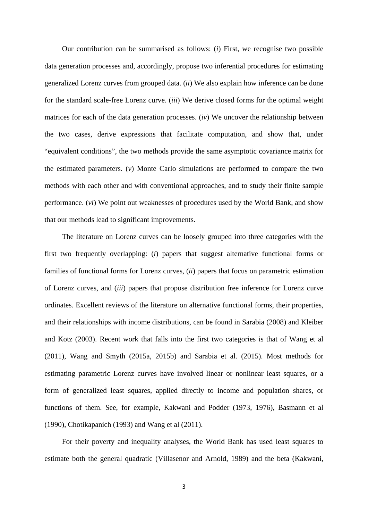Our contribution can be summarised as follows: (*i*) First, we recognise two possible data generation processes and, accordingly, propose two inferential procedures for estimating generalized Lorenz curves from grouped data. (*ii*) We also explain how inference can be done for the standard scale-free Lorenz curve. (*iii*) We derive closed forms for the optimal weight matrices for each of the data generation processes. (*iv*) We uncover the relationship between the two cases, derive expressions that facilitate computation, and show that, under "equivalent conditions", the two methods provide the same asymptotic covariance matrix for the estimated parameters. (*v*) Monte Carlo simulations are performed to compare the two methods with each other and with conventional approaches, and to study their finite sample performance. (*vi*) We point out weaknesses of procedures used by the World Bank, and show that our methods lead to significant improvements.

 The literature on Lorenz curves can be loosely grouped into three categories with the first two frequently overlapping: (*i*) papers that suggest alternative functional forms or families of functional forms for Lorenz curves, (*ii*) papers that focus on parametric estimation of Lorenz curves, and (*iii*) papers that propose distribution free inference for Lorenz curve ordinates. Excellent reviews of the literature on alternative functional forms, their properties, and their relationships with income distributions, can be found in Sarabia (2008) and Kleiber and Kotz (2003). Recent work that falls into the first two categories is that of Wang et al (2011), Wang and Smyth (2015a, 2015b) and Sarabia et al. (2015). Most methods for estimating parametric Lorenz curves have involved linear or nonlinear least squares, or a form of generalized least squares, applied directly to income and population shares, or functions of them. See, for example, Kakwani and Podder (1973, 1976), Basmann et al (1990), Chotikapanich (1993) and Wang et al (2011).

 For their poverty and inequality analyses, the World Bank has used least squares to estimate both the general quadratic (Villasenor and Arnold, 1989) and the beta (Kakwani,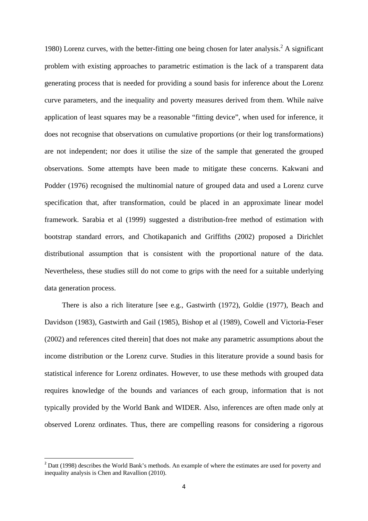1980) Lorenz curves, with the better-fitting one being chosen for later analysis.<sup>2</sup> A significant problem with existing approaches to parametric estimation is the lack of a transparent data generating process that is needed for providing a sound basis for inference about the Lorenz curve parameters, and the inequality and poverty measures derived from them. While naïve application of least squares may be a reasonable "fitting device", when used for inference, it does not recognise that observations on cumulative proportions (or their log transformations) are not independent; nor does it utilise the size of the sample that generated the grouped observations. Some attempts have been made to mitigate these concerns. Kakwani and Podder (1976) recognised the multinomial nature of grouped data and used a Lorenz curve specification that, after transformation, could be placed in an approximate linear model framework. Sarabia et al (1999) suggested a distribution-free method of estimation with bootstrap standard errors, and Chotikapanich and Griffiths (2002) proposed a Dirichlet distributional assumption that is consistent with the proportional nature of the data. Nevertheless, these studies still do not come to grips with the need for a suitable underlying data generation process.

 There is also a rich literature [see e.g., Gastwirth (1972), Goldie (1977), Beach and Davidson (1983), Gastwirth and Gail (1985), Bishop et al (1989), Cowell and Victoria-Feser (2002) and references cited therein] that does not make any parametric assumptions about the income distribution or the Lorenz curve. Studies in this literature provide a sound basis for statistical inference for Lorenz ordinates. However, to use these methods with grouped data requires knowledge of the bounds and variances of each group, information that is not typically provided by the World Bank and WIDER. Also, inferences are often made only at observed Lorenz ordinates. Thus, there are compelling reasons for considering a rigorous

 $2^{2}$  Datt (1998) describes the World Bank's methods. An example of where the estimates are used for poverty and inequality analysis is Chen and Ravallion (2010).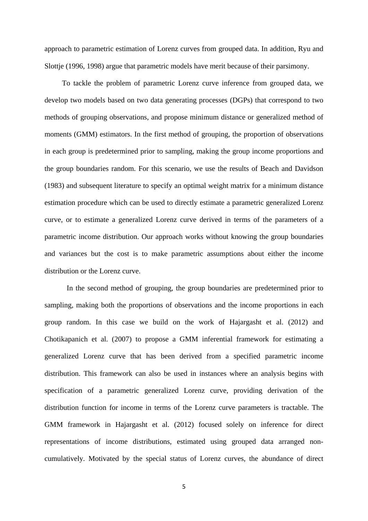approach to parametric estimation of Lorenz curves from grouped data. In addition, Ryu and Slottje (1996, 1998) argue that parametric models have merit because of their parsimony.

 To tackle the problem of parametric Lorenz curve inference from grouped data, we develop two models based on two data generating processes (DGPs) that correspond to two methods of grouping observations, and propose minimum distance or generalized method of moments (GMM) estimators. In the first method of grouping, the proportion of observations in each group is predetermined prior to sampling, making the group income proportions and the group boundaries random. For this scenario, we use the results of Beach and Davidson (1983) and subsequent literature to specify an optimal weight matrix for a minimum distance estimation procedure which can be used to directly estimate a parametric generalized Lorenz curve, or to estimate a generalized Lorenz curve derived in terms of the parameters of a parametric income distribution. Our approach works without knowing the group boundaries and variances but the cost is to make parametric assumptions about either the income distribution or the Lorenz curve.

 In the second method of grouping, the group boundaries are predetermined prior to sampling, making both the proportions of observations and the income proportions in each group random. In this case we build on the work of Hajargasht et al. (2012) and Chotikapanich et al. (2007) to propose a GMM inferential framework for estimating a generalized Lorenz curve that has been derived from a specified parametric income distribution. This framework can also be used in instances where an analysis begins with specification of a parametric generalized Lorenz curve, providing derivation of the distribution function for income in terms of the Lorenz curve parameters is tractable. The GMM framework in Hajargasht et al. (2012) focused solely on inference for direct representations of income distributions, estimated using grouped data arranged noncumulatively. Motivated by the special status of Lorenz curves, the abundance of direct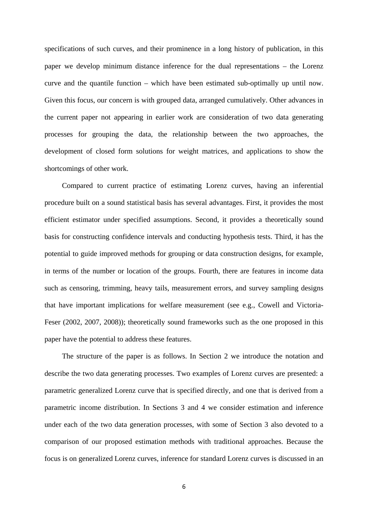specifications of such curves, and their prominence in a long history of publication, in this paper we develop minimum distance inference for the dual representations – the Lorenz curve and the quantile function – which have been estimated sub-optimally up until now. Given this focus, our concern is with grouped data, arranged cumulatively. Other advances in the current paper not appearing in earlier work are consideration of two data generating processes for grouping the data, the relationship between the two approaches, the development of closed form solutions for weight matrices, and applications to show the shortcomings of other work.

 Compared to current practice of estimating Lorenz curves, having an inferential procedure built on a sound statistical basis has several advantages. First, it provides the most efficient estimator under specified assumptions. Second, it provides a theoretically sound basis for constructing confidence intervals and conducting hypothesis tests. Third, it has the potential to guide improved methods for grouping or data construction designs, for example, in terms of the number or location of the groups. Fourth, there are features in income data such as censoring, trimming, heavy tails, measurement errors, and survey sampling designs that have important implications for welfare measurement (see e.g., Cowell and Victoria-Feser (2002, 2007, 2008)); theoretically sound frameworks such as the one proposed in this paper have the potential to address these features.

 The structure of the paper is as follows. In Section 2 we introduce the notation and describe the two data generating processes. Two examples of Lorenz curves are presented: a parametric generalized Lorenz curve that is specified directly, and one that is derived from a parametric income distribution. In Sections 3 and 4 we consider estimation and inference under each of the two data generation processes, with some of Section 3 also devoted to a comparison of our proposed estimation methods with traditional approaches. Because the focus is on generalized Lorenz curves, inference for standard Lorenz curves is discussed in an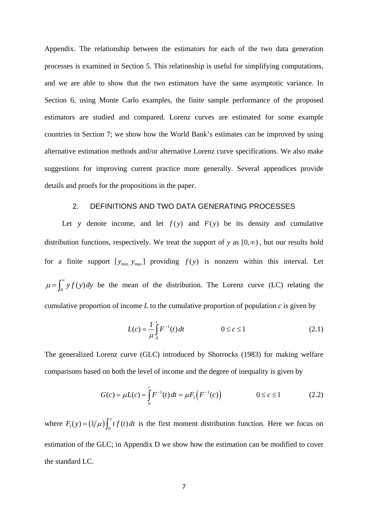Appendix. The relationship between the estimators for each of the two data generation processes is examined in Section 5. This relationship is useful for simplifying computations, and we are able to show that the two estimators have the same asymptotic variance. In Section 6, using Monte Carlo examples, the finite sample performance of the proposed estimators are studied and compared. Lorenz curves are estimated for some example countries in Section 7; we show how the World Bank's estimates can be improved by using alternative estimation methods and/or alternative Lorenz curve specifications. We also make suggestions for improving current practice more generally. Several appendices provide details and proofs for the propositions in the paper.

## 2. DEFINITIONS AND TWO DATA GENERATING PROCESSES

Let *y* denote income, and let  $f(y)$  and  $F(y)$  be its density and cumulative distribution functions, respectively. We treat the support of *y* as  $[0, \infty)$ , but our results hold for a finite support  $[y_{min}, y_{max}]$  providing  $f(y)$  is nonzero within this interval. Let  $\mu = \int_0^\infty y f(y) dy$  be the mean of the distribution. The Lorenz curve (LC) relating the cumulative proportion of income *L* to the cumulative proportion of population *c* is given by

$$
L(c) = \frac{1}{\mu} \int_{0}^{c} F^{-1}(t) dt \qquad 0 \le c \le 1
$$
 (2.1)

The generalized Lorenz curve (GLC) introduced by Shorrocks (1983) for making welfare comparisons based on both the level of income and the degree of inequality is given by

$$
G(c) = \mu L(c) = \int_{0}^{c} F^{-1}(t) dt = \mu F_{1}(F^{-1}(c)) \qquad 0 \le c \le 1
$$
 (2.2)

where  $F_1(y) = (1/\mu) \int_0^y t f(t) dt$  is the first moment distribution function. Here we focus on estimation of the GLC; in Appendix D we show how the estimation can be modified to cover the standard LC.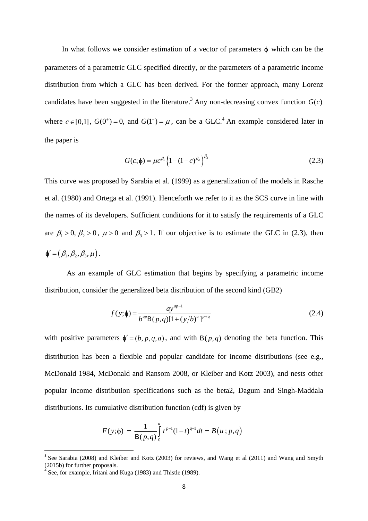In what follows we consider estimation of a vector of parameters  $\phi$  which can be the parameters of a parametric GLC specified directly, or the parameters of a parametric income distribution from which a GLC has been derived. For the former approach, many Lorenz candidates have been suggested in the literature.<sup>3</sup> Any non-decreasing convex function  $G(c)$ where  $c \in [0,1]$ ,  $G(0^+) = 0$ , and  $G(1^-) = \mu$ , can be a GLC.<sup>4</sup> An example considered later in the paper is

$$
G(c; \phi) = \mu c^{\beta_1} \left\{ 1 - (1 - c)^{\beta_2} \right\}^{\beta_3}
$$
 (2.3)

This curve was proposed by Sarabia et al. (1999) as a generalization of the models in Rasche et al. (1980) and Ortega et al. (1991). Henceforth we refer to it as the SCS curve in line with the names of its developers. Sufficient conditions for it to satisfy the requirements of a GLC are  $\beta_1 > 0$ ,  $\beta_2 > 0$ ,  $\mu > 0$  and  $\beta_3 > 1$ . If our objective is to estimate the GLC in (2.3), then  $\Phi' = (\beta_1, \beta_2, \beta_3, \mu).$ 

 As an example of GLC estimation that begins by specifying a parametric income distribution, consider the generalized beta distribution of the second kind (GB2)

$$
f(y; \phi) = \frac{ay^{ap-1}}{b^{ap}B(p,q)[1 + (y/b)^{a}]^{p+q}}
$$
(2.4)

with positive parameters  $\phi' = (b, p, q, a)$ , and with B(p,q) denoting the beta function. This distribution has been a flexible and popular candidate for income distributions (see e.g., McDonald 1984, McDonald and Ransom 2008, or Kleiber and Kotz 2003), and nests other popular income distribution specifications such as the beta2, Dagum and Singh-Maddala distributions. Its cumulative distribution function (cdf) is given by

$$
F(y; \phi) = \frac{1}{B(p,q)} \int_{0}^{u} t^{p-1} (1-t)^{q-1} dt = B(u; p, q)
$$

See Sarabia (2008) and Kleiber and Kotz (2003) for reviews, and Wang et al (2011) and Wang and Smyth (2015b) for further proposals.

 $4 \text{ See}$ , for example, Iritani and Kuga (1983) and Thistle (1989).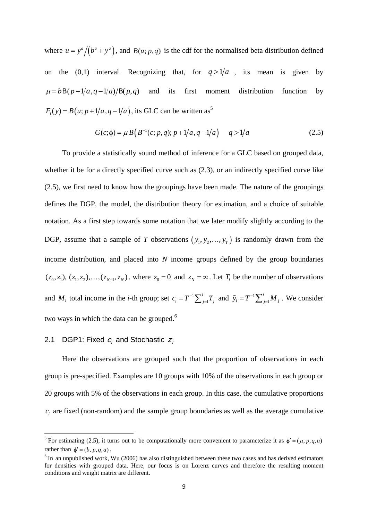where  $u = y^a / (b^a + y^a)$ , and  $B(u; p, q)$  is the cdf for the normalised beta distribution defined on the (0,1) interval. Recognizing that, for  $q > 1/a$ , its mean is given by  $\mu = b B (p+1/a, q-1/a)/B (p,q)$  and its first moment distribution function by  $F_1(y) = B(u; p + 1/a, q - 1/a)$ , its GLC can be written as<sup>5</sup>

$$
G(c; \phi) = \mu B\Big(B^{-1}(c; p, q); p + 1/a, q - 1/a\Big) \qquad q > 1/a \tag{2.5}
$$

 To provide a statistically sound method of inference for a GLC based on grouped data, whether it be for a directly specified curve such as (2.3), or an indirectly specified curve like (2.5), we first need to know how the groupings have been made. The nature of the groupings defines the DGP, the model, the distribution theory for estimation, and a choice of suitable notation. As a first step towards some notation that we later modify slightly according to the DGP, assume that a sample of *T* observations  $(y_1, y_2, \ldots, y_T)$  is randomly drawn from the income distribution, and placed into *N* income groups defined by the group boundaries  $(z_0, z_1)$ ,  $(z_1, z_2)$ ,..., $(z_{N-1}, z_N)$ , where  $z_0 = 0$  and  $z_N = \infty$ . Let  $T_i$  be the number of observations and  $M_i$  total income in the *i*-th group; set  $c_i = T^{-1} \sum_{j=1}^{i}$  $c_i = T^{-1} \sum_{j=1}^i T_j$  and  $\tilde{y}_i = T^{-1} \sum_{j=1}^i$  $\tilde{y}_i = T^{-1} \sum_{j=1}^i M_j$ . We consider two ways in which the data can be grouped.<sup>6</sup>

# 2.1 DGP1: Fixed  $c_i$  and Stochastic  $z_i$

 Here the observations are grouped such that the proportion of observations in each group is pre-specified. Examples are 10 groups with 10% of the observations in each group or 20 groups with 5% of the observations in each group. In this case, the cumulative proportions  $c_i$  are fixed (non-random) and the sample group boundaries as well as the average cumulative

 $\overline{\mathbf{5}}$  For estimating (2.5), it turns out to be computationally more convenient to parameterize it as  $\phi' = (\mu, p, q, a)$ rather than  $\phi' = (b, p, q, a)$ .

<sup>&</sup>lt;sup>6</sup> In an unpublished work, Wu (2006) has also distinguished between these two cases and has derived estimators for densities with grouped data. Here, our focus is on Lorenz curves and therefore the resulting moment conditions and weight matrix are different.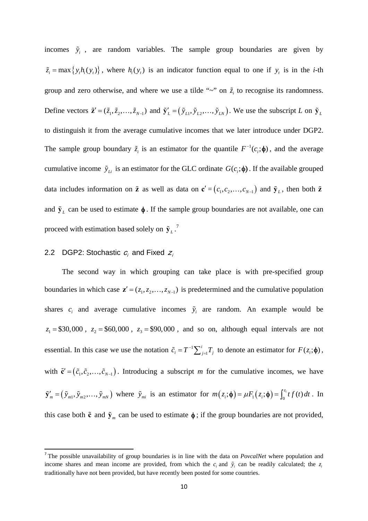incomes  $\tilde{y}_i$ , are random variables. The sample group boundaries are given by  $\tilde{z}_i = \max\{y_i h_i(y_i)\}\$ , where  $h_i(y_i)$  is an indicator function equal to one if  $y_i$  is in the *i*-th group and zero otherwise, and where we use a tilde " $\sim$ " on  $\tilde{z}_i$  to recognise its randomness. Define vectors  $\tilde{\mathbf{z}}' = (\tilde{z}_1, \tilde{z}_2, \dots, \tilde{z}_{N-1})$  and  $\tilde{\mathbf{y}}'_L = (\tilde{y}_{L1}, \tilde{y}_{L2}, \dots, \tilde{y}_{LN})$ . We use the subscript *L* on  $\tilde{\mathbf{y}}_L$ to distinguish it from the average cumulative incomes that we later introduce under DGP2. The sample group boundary  $\tilde{z}_i$  is an estimator for the quantile  $F^{-1}(c_i; \phi)$ , and the average cumulative income  $\tilde{y}_{Li}$  is an estimator for the GLC ordinate  $G(c_i; \phi)$ . If the available grouped data includes information on  $\tilde{z}$  as well as data on  $\mathbf{c}' = (c_1, c_2, \dots, c_{N-1})$  and  $\tilde{y}_L$ , then both  $\tilde{z}$ and  $\tilde{\mathbf{y}}_L$  can be used to estimate  $\phi$ . If the sample group boundaries are not available, one can proceed with estimation based solely on  $\tilde{\mathbf{y}}_L$ .<sup>7</sup>

# 2.2 DGP2: Stochastic  $c_i$  and Fixed  $z_i$

 The second way in which grouping can take place is with pre-specified group boundaries in which case  $z' = (z_1, z_2, \dots, z_{N-1})$  is predetermined and the cumulative population shares  $c_i$  and average cumulative incomes  $\tilde{y}_i$  are random. An example would be  $z_1 = $30,000$ ,  $z_2 = $60,000$ ,  $z_3 = $90,000$ , and so on, although equal intervals are not essential. In this case we use the notation  $\tilde{c}_i = T^{-1} \sum_{j=1}^i$  $\tilde{c}_i = T^{-1} \sum_{j=1}^i T_j$  to denote an estimator for  $F(z_i; \phi)$ , with  $\tilde{\mathbf{c}}' = (\tilde{c}_1, \tilde{c}_2, \dots, \tilde{c}_{N-1})$ . Introducing a subscript *m* for the cumulative incomes, we have  $\tilde{\mathbf{y}}'_m = (\tilde{y}_{m1}, \tilde{y}_{m2}, \dots, \tilde{y}_{mN})$  where  $\tilde{y}_{mi}$  is an estimator for  $m(z_i; \phi) = \mu F_1(z_i; \phi) = \int_0^{z_i} t f(t) dt$ . In this case both  $\tilde{\mathbf{c}}$  and  $\tilde{\mathbf{y}}_m$  can be used to estimate  $\phi$ ; if the group boundaries are not provided,

<sup>7</sup> The possible unavailability of group boundaries is in line with the data on *PovcalNet* where population and income shares and mean income are provided, from which the  $c_i$  and  $\tilde{y}_i$  can be readily calculated; the  $z_i$ traditionally have not been provided, but have recently been posted for some countries.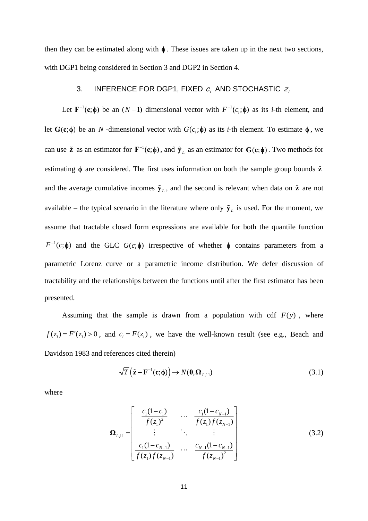then they can be estimated along with  $\phi$ . These issues are taken up in the next two sections, with DGP1 being considered in Section 3 and DGP2 in Section 4.

# 3. INFERENCE FOR DGP1, FIXED  $c_j$  and stochastic  $z_j$

Let  $\mathbf{F}^{-1}(\mathbf{c}; \phi)$  be an  $(N-1)$  dimensional vector with  $F^{-1}(c_i; \phi)$  as its *i*-th element, and let  $G(c; \phi)$  be an *N*-dimensional vector with  $G(c; \phi)$  as its *i*-th element. To estimate  $\phi$ , we can use  $\tilde{z}$  as an estimator for  $F^{-1}(c; \phi)$ , and  $\tilde{y}_L$  as an estimator for  $G(c; \phi)$ . Two methods for estimating  $\phi$  are considered. The first uses information on both the sample group bounds  $\tilde{z}$ and the average cumulative incomes  $\tilde{\mathbf{y}}_l$ , and the second is relevant when data on  $\tilde{\mathbf{z}}$  are not available – the typical scenario in the literature where only  $\tilde{\mathbf{y}}_L$  is used. For the moment, we assume that tractable closed form expressions are available for both the quantile function  $F^{-1}(c; \phi)$  and the GLC  $G(c; \phi)$  irrespective of whether  $\phi$  contains parameters from a parametric Lorenz curve or a parametric income distribution. We defer discussion of tractability and the relationships between the functions until after the first estimator has been presented.

Assuming that the sample is drawn from a population with cdf  $F(y)$ , where  $f(z_i) = F'(z_i) > 0$ , and  $c_i = F(z_i)$ , we have the well-known result (see e.g., Beach and Davidson 1983 and references cited therein)

$$
\sqrt{T}\left(\tilde{\mathbf{z}} - \mathbf{F}^{-1}(\mathbf{c}; \boldsymbol{\phi})\right) \to N(\mathbf{0}, \boldsymbol{\Omega}_{L,1})
$$
\n(3.1)

where

$$
\mathbf{\Omega}_{L,11} = \begin{bmatrix} \frac{c_1(1-c_1)}{f(z_1)^2} & \cdots & \frac{c_1(1-c_{N-1})}{f(z_1)f(z_{N-1})} \\ \vdots & \ddots & \vdots \\ \frac{c_1(1-c_{N-1})}{f(z_1)f(z_{N-1})} & \cdots & \frac{c_{N-1}(1-c_{N-1})}{f(z_{N-1})^2} \end{bmatrix}
$$
(3.2)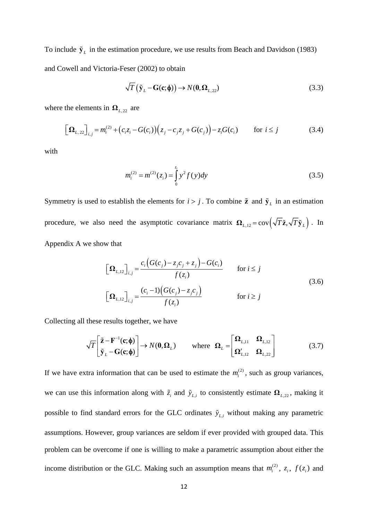To include  $\tilde{\mathbf{y}}_L$  in the estimation procedure, we use results from Beach and Davidson (1983) and Cowell and Victoria-Feser (2002) to obtain

$$
\sqrt{T}(\tilde{\mathbf{y}}_L - \mathbf{G}(\mathbf{c}; \boldsymbol{\phi})) \to N(\mathbf{0}, \boldsymbol{\Omega}_{L, 22})
$$
\n(3.3)

where the elements in  $\Omega_{L,22}$  are

$$
\left[\Omega_{L,22}\right]_{i,j} = m_i^{(2)} + \left(c_i z_i - G(c_i)\right)\left(z_j - c_j z_j + G(c_j)\right) - z_i G(c_i) \qquad \text{for } i \le j \tag{3.4}
$$

with

$$
m_i^{(2)} = m^{(2)}(z_i) = \int_0^{z_i} y^2 f(y) dy
$$
\n(3.5)

Symmetry is used to establish the elements for  $i > j$ . To combine  $\tilde{z}$  and  $\tilde{y}_L$  in an estimation procedure, we also need the asymptotic covariance matrix  $\Omega_{L,12} = \text{cov}\left(\sqrt{T}\tilde{z}, \sqrt{T}\tilde{y}_L\right)$ . In Appendix A we show that

$$
\left[\mathbf{\Omega}_{L,12}\right]_{i,j} = \frac{c_i \left(G(c_j) - z_j c_j + z_j\right) - G(c_i)}{f(z_i)} \quad \text{for } i \le j
$$
\n
$$
\left[\mathbf{\Omega}_{L,12}\right]_{i,j} = \frac{(c_i - 1)\left(G(c_j) - z_j c_j\right)}{f(z_i)} \quad \text{for } i \ge j
$$
\n(3.6)

Collecting all these results together, we have

$$
\sqrt{T} \begin{bmatrix} \tilde{\mathbf{z}} - \mathbf{F}^{-1}(\mathbf{c}; \boldsymbol{\phi}) \\ \tilde{\mathbf{y}}_L - \mathbf{G}(\mathbf{c}; \boldsymbol{\phi}) \end{bmatrix} \rightarrow N(\mathbf{0}, \boldsymbol{\Omega}_L) \quad \text{where } \boldsymbol{\Omega}_L = \begin{bmatrix} \boldsymbol{\Omega}_{L,11} & \boldsymbol{\Omega}_{L,12} \\ \boldsymbol{\Omega}_{L,12}^{\prime} & \boldsymbol{\Omega}_{L,22} \end{bmatrix} \tag{3.7}
$$

If we have extra information that can be used to estimate the  $m_i^{(2)}$ , such as group variances, we can use this information along with  $\tilde{z}_i$  and  $\tilde{y}_{L,i}$  to consistently estimate  $\Omega_{L,22}$ , making it possible to find standard errors for the GLC ordinates  $\tilde{y}_{L,i}$  without making any parametric assumptions. However, group variances are seldom if ever provided with grouped data. This problem can be overcome if one is willing to make a parametric assumption about either the income distribution or the GLC. Making such an assumption means that  $m_i^{(2)}$ ,  $z_i$ ,  $f(z_i)$  and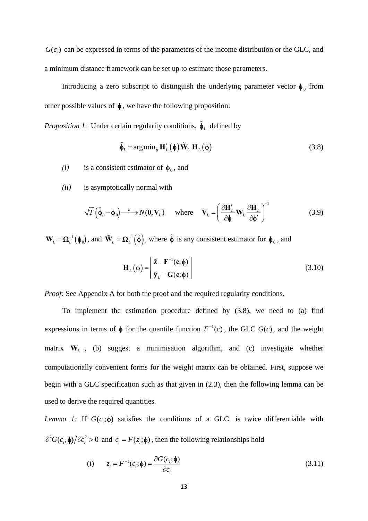$G(c_i)$  can be expressed in terms of the parameters of the income distribution or the GLC, and a minimum distance framework can be set up to estimate those parameters.

Introducing a zero subscript to distinguish the underlying parameter vector  $\phi_0$  from other possible values of  $\phi$ , we have the following proposition:

*Proposition 1*: Under certain regularity conditions,  $\hat{\phi}_L$  defined by

$$
\hat{\phi}_L = \arg \min_{\phi} \mathbf{H}'_L(\phi) \tilde{\mathbf{W}}_L \mathbf{H}_L(\phi)
$$
\n(3.8)

*(i)* is a consistent estimator of  $\phi_0$ , and

*(ii)* is asymptotically normal with

$$
\sqrt{T} \left( \hat{\phi}_L - \phi_0 \right) \xrightarrow{d} N(\mathbf{0}, \mathbf{V}_L) \quad \text{where} \quad \mathbf{V}_L = \left( \frac{\partial \mathbf{H}'_L}{\partial \phi} \mathbf{W}_L \frac{\partial \mathbf{H}_L}{\partial \phi'} \right)^{-1} \tag{3.9}
$$

 $W_L = \Omega_L^{-1}(\phi_0)$ , and  $\tilde{W}_L = \Omega_L^{-1}(\tilde{\phi})$ , where  $\tilde{\phi}$  is any consistent estimator for  $\phi_0$ , and

$$
\mathbf{H}_{L}(\boldsymbol{\phi}) = \begin{bmatrix} \tilde{\mathbf{z}} - \mathbf{F}^{-1}(\mathbf{c}; \boldsymbol{\phi}) \\ \tilde{\mathbf{y}}_{L} - \mathbf{G}(\mathbf{c}; \boldsymbol{\phi}) \end{bmatrix}
$$
(3.10)

*Proof:* See Appendix A for both the proof and the required regularity conditions.

 To implement the estimation procedure defined by (3.8), we need to (a) find expressions in terms of  $\phi$  for the quantile function  $F^{-1}(c)$ , the GLC  $G(c)$ , and the weight matrix **W***<sup>L</sup>* , (b) suggest a minimisation algorithm, and (c) investigate whether computationally convenient forms for the weight matrix can be obtained. First, suppose we begin with a GLC specification such as that given in (2.3), then the following lemma can be used to derive the required quantities.

*Lemma 1:* If  $G(c,;\phi)$  satisfies the conditions of a GLC, is twice differentiable with  $\partial^2 G(c_i, \phi)/\partial c_i^2 > 0$  and  $c_i = F(z_i; \phi)$ , then the following relationships hold

$$
(i) \qquad z_i = F^{-1}(c_i; \phi) = \frac{\partial G(c_i; \phi)}{\partial c_i} \tag{3.11}
$$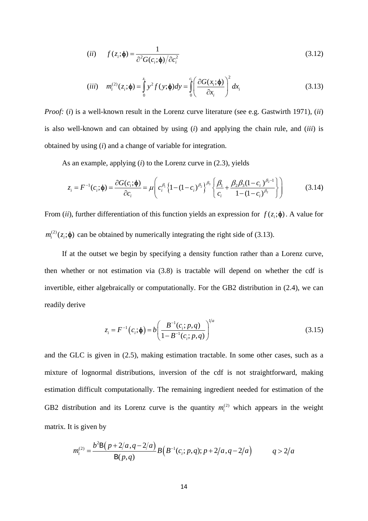$$
(ii) \t f(z_i; \phi) = \frac{1}{\partial^2 G(c_i; \phi)/\partial c_i^2}
$$
\t(3.12)

$$
(iii) \t m_i^{(2)}(z_i; \boldsymbol{\phi}) = \int_0^{z_i} y^2 f(y; \boldsymbol{\phi}) dy = \int_0^{c_i} \left( \frac{\partial G(x_i; \boldsymbol{\phi})}{\partial x_i} \right)^2 dx_i
$$
\t(3.13)

*Proof:* (*i*) is a well-known result in the Lorenz curve literature (see e.g. Gastwirth 1971), (*ii*) is also well-known and can obtained by using (*i*) and applying the chain rule, and (*iii*) is obtained by using (*i*) and a change of variable for integration.

As an example, applying (*i*) to the Lorenz curve in (2.3), yields

$$
z_i = F^{-1}(c_i; \phi) = \frac{\partial G(c_i; \phi)}{\partial c_i} = \mu \left( c_i^{\beta_1} \left\{ 1 - (1 - c_i)^{\beta_2} \right\}^{\beta_3} \left\{ \frac{\beta_1}{c_i} + \frac{\beta_2 \beta_3 (1 - c_i)^{\beta_2 - 1}}{1 - (1 - c_i)^{\beta_2}} \right\} \right)
$$
(3.14)

From (*ii*), further differentiation of this function yields an expression for  $f(z_i; \phi)$ . A value for  $m_i^{(2)}(z_i; \phi)$  can be obtained by numerically integrating the right side of (3.13).

 If at the outset we begin by specifying a density function rather than a Lorenz curve, then whether or not estimation via (3.8) is tractable will depend on whether the cdf is invertible, either algebraically or computationally. For the GB2 distribution in (2.4), we can readily derive

$$
z_i = F^{-1}(c_i; \phi) = b \left( \frac{B^{-1}(c_i; p, q)}{1 - B^{-1}(c_i; p, q)} \right)^{1/a}
$$
(3.15)

and the GLC is given in (2.5), making estimation tractable. In some other cases, such as a mixture of lognormal distributions, inversion of the cdf is not straightforward, making estimation difficult computationally. The remaining ingredient needed for estimation of the GB2 distribution and its Lorenz curve is the quantity  $m_i^{(2)}$  which appears in the weight matrix. It is given by

$$
m_i^{(2)} = \frac{b^2 \mathbf{B}(p+2/a,q-2/a)}{\mathbf{B}(p,q)} B\Big(B^{-1}(c_i;p,q);p+2/a,q-2/a\Big) \qquad q>2/a
$$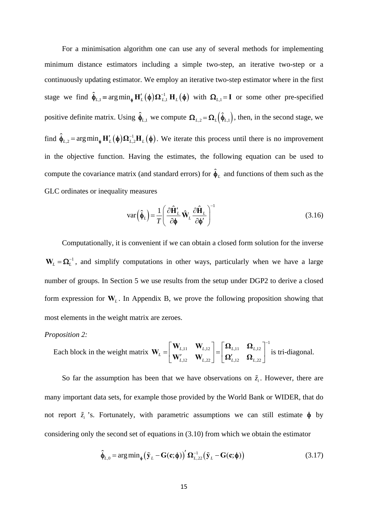For a minimisation algorithm one can use any of several methods for implementing minimum distance estimators including a simple two-step, an iterative two-step or a continuously updating estimator. We employ an iterative two-step estimator where in the first stage we find  $\hat{\phi}_{L,1} = \arg \min_{\phi} \mathbf{H}'_L(\phi) \Omega^{-1}_{L,1} \mathbf{H}_L(\phi)$  with  $\Omega_{L,1} = \mathbf{I}$  or some other pre-specified positive definite matrix. Using  $\hat{\phi}_{L,1}$  we compute  $\Omega_{L,2} = \Omega_L(\hat{\phi}_{L,1})$ , then, in the second stage, we find  $\hat{\phi}_{L,2} = \arg \min_{\phi} \mathbf{H}'_L(\phi) \Omega_{L,2}^{-1} \mathbf{H}_L(\phi)$ . We iterate this process until there is no improvement in the objective function. Having the estimates, the following equation can be used to compute the covariance matrix (and standard errors) for  $\hat{\phi}_L$  and functions of them such as the GLC ordinates or inequality measures

$$
\text{var}\left(\hat{\boldsymbol{\phi}}_{L}\right) = \frac{1}{T} \left(\frac{\partial \hat{\mathbf{H}}'_{L}}{\partial \boldsymbol{\phi}} \hat{\mathbf{W}}_{L} \frac{\partial \hat{\mathbf{H}}_{L}}{\partial \boldsymbol{\phi}'}\right)^{-1} \tag{3.16}
$$

 Computationally, it is convenient if we can obtain a closed form solution for the inverse 1  $W_L = \Omega_L^{-1}$ , and simplify computations in other ways, particularly when we have a large number of groups. In Section 5 we use results from the setup under DGP2 to derive a closed form expression for  $W_L$ . In Appendix B, we prove the following proposition showing that most elements in the weight matrix are zeroes.

### *Proposition 2:*

Each block in the weight matrix 
$$
\mathbf{W}_{L} = \begin{bmatrix} \mathbf{W}_{L,11} & \mathbf{W}_{L,12} \\ \mathbf{W}_{L,12}^{\prime} & \mathbf{W}_{L,22} \end{bmatrix} = \begin{bmatrix} \mathbf{\Omega}_{L,11} & \mathbf{\Omega}_{L,12} \\ \mathbf{\Omega}_{L,12}^{\prime} & \mathbf{\Omega}_{L,22} \end{bmatrix}^{-1}
$$
 is tri-diagonal.

So far the assumption has been that we have observations on  $\tilde{z}_i$ . However, there are many important data sets, for example those provided by the World Bank or WIDER, that do not report  $\tilde{z}_i$  's. Fortunately, with parametric assumptions we can still estimate  $\phi$  by considering only the second set of equations in (3.10) from which we obtain the estimator

$$
\hat{\boldsymbol{\phi}}_{L,0} = \arg\min_{\boldsymbol{\phi}} (\tilde{\mathbf{y}}_L - \mathbf{G}(\mathbf{c}; \boldsymbol{\phi}))' \mathbf{\Omega}_{L,22}^{-1} (\tilde{\mathbf{y}}_L - \mathbf{G}(\mathbf{c}; \boldsymbol{\phi}))
$$
(3.17)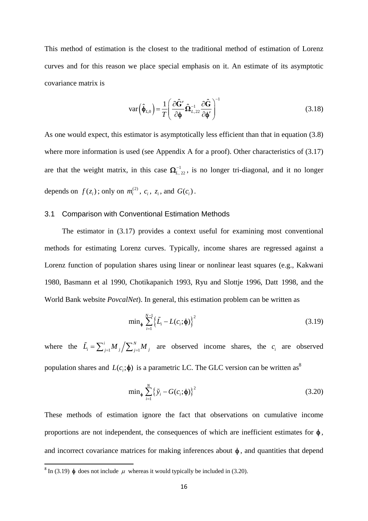This method of estimation is the closest to the traditional method of estimation of Lorenz curves and for this reason we place special emphasis on it. An estimate of its asymptotic covariance matrix is

$$
\text{var}\left(\hat{\boldsymbol{\phi}}_{L,0}\right) = \frac{1}{T} \left(\frac{\partial \hat{\mathbf{G}}'}{\partial \boldsymbol{\phi}} \hat{\boldsymbol{\Omega}}_{L,22}^{-1} \frac{\partial \hat{\mathbf{G}}}{\partial \boldsymbol{\phi}'}\right)^{-1} \tag{3.18}
$$

As one would expect, this estimator is asymptotically less efficient than that in equation (3.8) where more information is used (see Appendix A for a proof). Other characteristics of  $(3.17)$ are that the weight matrix, in this case  $\Omega_{L, 22}^{-1}$ , is no longer tri-diagonal, and it no longer depends on  $f(z_i)$ ; only on  $m_i^{(2)}$ ,  $c_i$ ,  $z_i$ , and  $G(c_i)$ .

## 3.1 Comparison with Conventional Estimation Methods

 The estimator in (3.17) provides a context useful for examining most conventional methods for estimating Lorenz curves. Typically, income shares are regressed against a Lorenz function of population shares using linear or nonlinear least squares (e.g., Kakwani 1980, Basmann et al 1990, Chotikapanich 1993, Ryu and Slottje 1996, Datt 1998, and the World Bank website *PovcalNet*). In general, this estimation problem can be written as

$$
\min_{\phi} \sum_{i=1}^{N-1} \left\{ \tilde{L}_i - L(c_i; \phi) \right\}^2 \tag{3.19}
$$

where the  $\tilde{L}_i = \sum_{j=1}^i M_j / \sum_{j=1}^N M_j$  are observed income shares, the  $c_i$  are observed population shares and  $L(c_i; \phi)$  is a parametric LC. The GLC version can be written as<sup>8</sup>

$$
\min_{\phi} \sum_{i=1}^{N} \left\{ \tilde{y}_i - G(c_i; \phi) \right\}^2 \tag{3.20}
$$

These methods of estimation ignore the fact that observations on cumulative income proportions are not independent, the consequences of which are inefficient estimates for  $\phi$ , and incorrect covariance matrices for making inferences about  $\phi$ , and quantities that depend

<sup>&</sup>lt;sup>8</sup> In (3.19)  $\phi$  does not include  $\mu$  whereas it would typically be included in (3.20).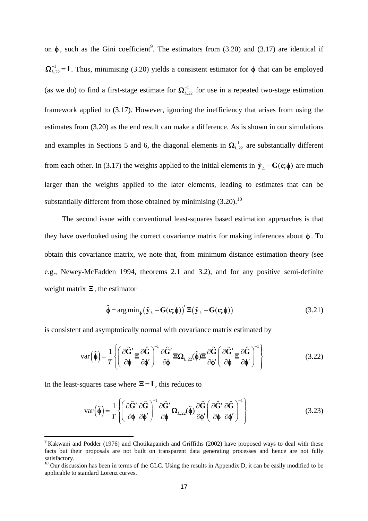on  $\phi$ , such as the Gini coefficient<sup>9</sup>. The estimators from (3.20) and (3.17) are identical if 1  $\Omega_{L,22}^{-1} = I$ . Thus, minimising (3.20) yields a consistent estimator for  $\phi$  that can be employed (as we do) to find a first-stage estimate for  $\Omega_{L,22}^{-1}$  for use in a repeated two-stage estimation framework applied to (3.17). However, ignoring the inefficiency that arises from using the estimates from (3.20) as the end result can make a difference. As is shown in our simulations and examples in Sections 5 and 6, the diagonal elements in  $\Omega_{L,22}^{-1}$  are substantially different from each other. In (3.17) the weights applied to the initial elements in  $\tilde{\mathbf{y}}_L - \mathbf{G}(\mathbf{c}; \phi)$  are much larger than the weights applied to the later elements, leading to estimates that can be substantially different from those obtained by minimising  $(3.20)$ .<sup>10</sup>

The second issue with conventional least-squares based estimation approaches is that they have overlooked using the correct covariance matrix for making inferences about  $\phi$ . To obtain this covariance matrix, we note that, from minimum distance estimation theory (see e.g., Newey-McFadden 1994, theorems 2.1 and 3.2), and for any positive semi-definite weight matrix **Ξ**, the estimator

$$
\hat{\phi} = \arg\min_{\phi} (\tilde{\mathbf{y}}_L - \mathbf{G}(\mathbf{c}; \phi))' \Xi(\tilde{\mathbf{y}}_L - \mathbf{G}(\mathbf{c}; \phi))
$$
\n(3.21)

is consistent and asymptotically normal with covariance matrix estimated by

$$
\text{var}\left(\hat{\phi}\right) = \frac{1}{T} \left\{ \left( \frac{\partial \hat{G}'}{\partial \phi} \Xi \frac{\partial \hat{G}}{\partial \phi'} \right)^{-1} \frac{\partial \hat{G}'}{\partial \phi} \Xi \Omega_{L,22}(\hat{\phi}) \Xi \frac{\partial \hat{G}}{\partial \phi'} \left( \frac{\partial \hat{G}'}{\partial \phi} \Xi \frac{\partial \hat{G}}{\partial \phi'} \right)^{-1} \right\}
$$
(3.22)

In the least-squares case where  $\Xi = I$ , this reduces to

$$
\text{var}\left(\hat{\phi}\right) = \frac{1}{T} \left\{ \left( \frac{\partial \hat{G}'}{\partial \phi} \frac{\partial \hat{G}}{\partial \phi'} \right)^{-1} \frac{\partial \hat{G}'}{\partial \phi} \Omega_{L,22}(\hat{\phi}) \frac{\partial \hat{G}}{\partial \phi'} \left( \frac{\partial \hat{G}'}{\partial \phi} \frac{\partial \hat{G}}{\partial \phi'} \right)^{-1} \right\}
$$
(3.23)

<sup>&</sup>lt;sup>9</sup> Kakwani and Podder (1976) and Chotikapanich and Griffiths (2002) have proposed ways to deal with these facts but their proposals are not built on transparent data generating processes and hence are not fully satisfactory.

<sup>&</sup>lt;sup>10</sup> Our discussion has been in terms of the GLC. Using the results in Appendix D, it can be easily modified to be applicable to standard Lorenz curves.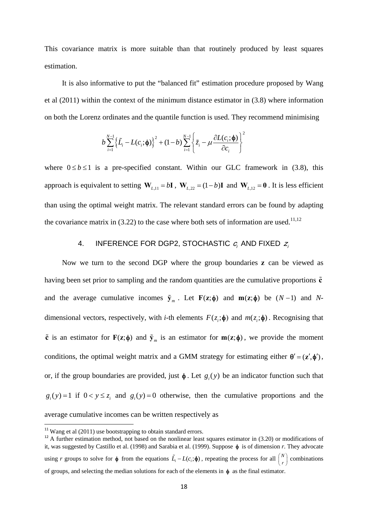This covariance matrix is more suitable than that routinely produced by least squares estimation.

 It is also informative to put the "balanced fit" estimation procedure proposed by Wang et al (2011) within the context of the minimum distance estimator in (3.8) where information on both the Lorenz ordinates and the quantile function is used. They recommend minimising

$$
b\sum_{i=1}^{N-1}\left\{\tilde{L_i}-L(c_i;\boldsymbol{\phi})\right\}^2+(1-b)\sum_{i=1}^{N-1}\left\{\tilde{z}_i-\mu\frac{\partial L(c_i;\boldsymbol{\phi})}{\partial c_i}\right\}^2
$$

where  $0 \le b \le 1$  is a pre-specified constant. Within our GLC framework in (3.8), this approach is equivalent to setting  $W_{L,11} = bI$ ,  $W_{L,22} = (1-b)I$  and  $W_{L,12} = 0$ . It is less efficient than using the optimal weight matrix. The relevant standard errors can be found by adapting the covariance matrix in  $(3.22)$  to the case where both sets of information are used.<sup>11,12</sup>

# 4. INFERENCE FOR DGP2, STOCHASTIC  $c_i$  and fixed  $z_i$

 Now we turn to the second DGP where the group boundaries **z** can be viewed as having been set prior to sampling and the random quantities are the cumulative proportions **c** and the average cumulative incomes  $\tilde{\mathbf{y}}_m$ . Let  $\mathbf{F}(\mathbf{z}; \phi)$  and  $\mathbf{m}(\mathbf{z}; \phi)$  be  $(N-1)$  and Ndimensional vectors, respectively, with *i*-th elements  $F(z_i; \phi)$  and  $m(z_i; \phi)$ . Recognising that  $\tilde{\mathbf{c}}$  is an estimator for  $\mathbf{F}(\mathbf{z}; \boldsymbol{\phi})$  and  $\tilde{\mathbf{y}}_m$  is an estimator for  $\mathbf{m}(\mathbf{z}; \boldsymbol{\phi})$ , we provide the moment conditions, the optimal weight matrix and a GMM strategy for estimating either  $\theta' = (z', \phi')$ , or, if the group boundaries are provided, just  $\phi$ . Let  $g(y)$  be an indicator function such that  $g_i(y) = 1$  if  $0 < y \le z_i$  and  $g_i(y) = 0$  otherwise, then the cumulative proportions and the average cumulative incomes can be written respectively as

 $11$  Wang et al (2011) use bootstrapping to obtain standard errors.

 $12$  A further estimation method, not based on the nonlinear least squares estimator in (3.20) or modifications of it, was suggested by Castillo et al. (1998) and Sarabia et al. (1999). Suppose  $\phi$  is of dimension *r*. They advocate using *r* groups to solve for  $\phi$  from the equations  $\tilde{L}_i - L(c_i; \phi)$ , repeating the process for all  $\binom{N}{r}$  combinations of groups, and selecting the median solutions for each of the elements in  $\phi$  as the final estimator.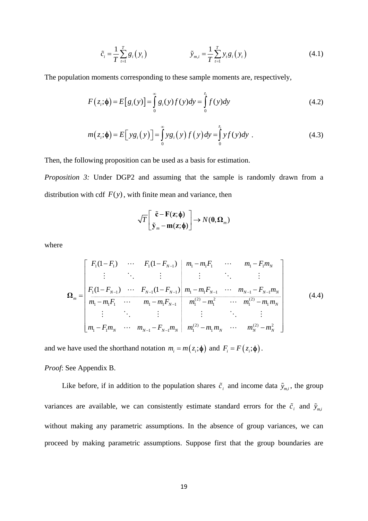$$
\tilde{c}_i = \frac{1}{T} \sum_{t=1}^T g_i(y_t) \qquad \qquad \tilde{y}_{m,i} = \frac{1}{T} \sum_{t=1}^T y_t g_i(y_t) \qquad (4.1)
$$

The population moments corresponding to these sample moments are, respectively,

$$
F(z_i; \phi) = E[g_i(y)] = \int_{0}^{\infty} g_i(y)f(y)dy = \int_{0}^{z_i} f(y)dy
$$
 (4.2)

$$
m(z_i; \boldsymbol{\phi}) = E[ y g_i(y) ] = \int_0^\infty y g_i(y) f(y) dy = \int_0^{z_i} y f(y) dy .
$$
 (4.3)

Then, the following proposition can be used as a basis for estimation.

*Proposition 3:* Under DGP2 and assuming that the sample is randomly drawn from a distribution with cdf  $F(y)$ , with finite mean and variance, then

$$
\sqrt{T}\begin{bmatrix} \tilde{\mathbf{c}} - \mathbf{F}(\mathbf{z}; \boldsymbol{\phi}) \\ \tilde{\mathbf{y}}_m - \mathbf{m}(\mathbf{z}; \boldsymbol{\phi}) \end{bmatrix} \rightarrow N(\mathbf{0}, \boldsymbol{\Omega}_m)
$$

where

$$
\Omega_{m} = \begin{bmatrix}\nF_{1}(1 - F_{1}) & \cdots & F_{1}(1 - F_{N-1}) & m_{1} - m_{1}F_{1} & \cdots & m_{1} - F_{1}m_{N} \\
\vdots & \ddots & \vdots & \vdots & \ddots & \vdots \\
m_{1} - m_{1}F_{1} & \cdots & m_{1} - m_{1}F_{N-1} & m_{1} - m_{1}F_{N-1} & \cdots & m_{N-1} - F_{N-1}m_{N} \\
\vdots & \ddots & \vdots & \vdots & \ddots & \vdots \\
m_{1} - F_{1}m_{N} & \cdots & m_{N-1} - F_{N-1}m_{N} & m_{1}^{(2)} - m_{1}m_{N} & \cdots & m_{N}^{(2)} - m_{N}^{2}\n\end{bmatrix}
$$
\n(4.4)

and we have used the shorthand notation  $m_i = m(z_i; \phi)$  and  $F_i = F(z_i; \phi)$ .

*Proof*: See Appendix B.

Like before, if in addition to the population shares  $\tilde{c}_i$  and income data  $\tilde{y}_{m,i}$ , the group variances are available, we can consistently estimate standard errors for the  $\tilde{c}_i$  and  $\tilde{y}_{m,i}$ without making any parametric assumptions. In the absence of group variances, we can proceed by making parametric assumptions. Suppose first that the group boundaries are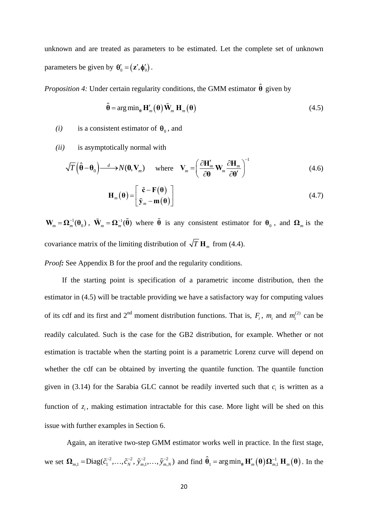unknown and are treated as parameters to be estimated. Let the complete set of unknown parameters be given by  $\mathbf{\theta}'_0 = (\mathbf{z}', \mathbf{\phi}'_0)$ .

*Proposition 4:* Under certain regularity conditions, the GMM estimator  $\hat{\theta}$  given by

$$
\hat{\boldsymbol{\theta}} = \arg \min_{\boldsymbol{\theta}} \mathbf{H}'_m(\boldsymbol{\theta}) \tilde{\mathbf{W}}_m \mathbf{H}_m(\boldsymbol{\theta})
$$
\n(4.5)

*(i)* is a consistent estimator of  $\theta_0$ , and

*(ii)* is asymptotically normal with

$$
\sqrt{T}\left(\hat{\boldsymbol{\theta}}-\boldsymbol{\theta}_0\right)\longrightarrow N(\boldsymbol{0},\mathbf{V}_m) \quad \text{where} \quad \mathbf{V}_m = \left(\frac{\partial \mathbf{H}'_m}{\partial \boldsymbol{\theta}}\mathbf{W}_m \frac{\partial \mathbf{H}_m}{\partial \boldsymbol{\theta}'}\right)^{-1} \tag{4.6}
$$

$$
\mathbf{H}_{m}(\boldsymbol{\theta}) = \begin{bmatrix} \tilde{\mathbf{c}} - \mathbf{F}(\boldsymbol{\theta}) \\ \tilde{\mathbf{y}}_{m} - \mathbf{m}(\boldsymbol{\theta}) \end{bmatrix}
$$
(4.7)

 $\mathbf{W}_m = \mathbf{\Omega}_m^{-1}(\mathbf{\theta}_0)$ ,  $\tilde{\mathbf{W}}_m = \mathbf{\Omega}_m^{-1}(\tilde{\mathbf{\theta}})$  where  $\tilde{\mathbf{\theta}}$  is any consistent estimator for  $\mathbf{\theta}_0$ , and  $\mathbf{\Omega}_m$  is the covariance matrix of the limiting distribution of  $\sqrt{T} H_m$  from (4.4).

*Proof*: See Appendix B for the proof and the regularity conditions.

 If the starting point is specification of a parametric income distribution, then the estimator in (4.5) will be tractable providing we have a satisfactory way for computing values of its cdf and its first and  $2^{nd}$  moment distribution functions. That is,  $F_i$ ,  $m_i$  and  $m_i^{(2)}$  can be readily calculated. Such is the case for the GB2 distribution, for example. Whether or not estimation is tractable when the starting point is a parametric Lorenz curve will depend on whether the cdf can be obtained by inverting the quantile function. The quantile function given in (3.14) for the Sarabia GLC cannot be readily inverted such that  $c_i$  is written as a function of  $z_i$ , making estimation intractable for this case. More light will be shed on this issue with further examples in Section 6.

 Again, an iterative two-step GMM estimator works well in practice. In the first stage, we set  $\Omega_{m,1} = \text{Diag}(\tilde{c}_1^{-2}, \dots, \tilde{c}_N^{-2}, \tilde{y}_{m,1}^{-2}, \dots, \tilde{y}_{m,N}^{-2})$  and find  $\hat{\theta}_1 = \arg \min_{\theta} \mathbf{H}'_m(\theta) \Omega_{m,1}^{-1} \mathbf{H}_m(\theta)$ . In the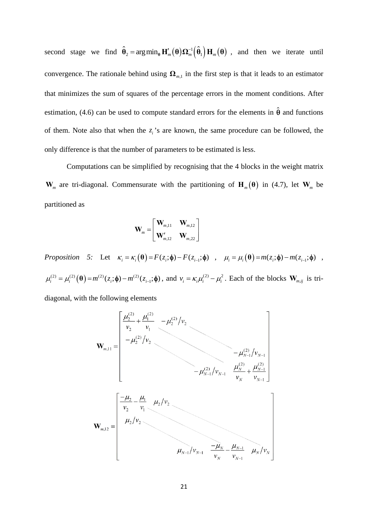second stage we find  $\hat{\theta}_2 = \arg \min_{\theta} \mathbf{H}'_m(\theta) \mathbf{\Omega}_m^{-1}(\hat{\theta}_1) \mathbf{H}_m(\theta)$ , and then we iterate until convergence. The rationale behind using  $\Omega_{m,1}$  in the first step is that it leads to an estimator that minimizes the sum of squares of the percentage errors in the moment conditions. After estimation, (4.6) can be used to compute standard errors for the elements in  $\hat{\theta}$  and functions of them. Note also that when the  $z_i$ 's are known, the same procedure can be followed, the only difference is that the number of parameters to be estimated is less.

 Computations can be simplified by recognising that the 4 blocks in the weight matrix  $\mathbf{W}_m$  are tri-diagonal. Commensurate with the partitioning of  $\mathbf{H}_m(\theta)$  in (4.7), let  $\mathbf{W}_m$  be partitioned as

$$
\mathbf{W}_m = \begin{bmatrix} \mathbf{W}_{m,11} & \mathbf{W}_{m,12} \\ \mathbf{W}'_{m,12} & \mathbf{W}_{m,22} \end{bmatrix}
$$

*Proposition 5:* Let  $\kappa_i = \kappa_i(\theta) = F(z_i; \phi) - F(z_{i-1}; \phi)$ ,  $\mu_i = \mu_i(\theta) = m(z_i; \phi) - m(z_{i-1}; \phi)$ ,  $\mu_i^{(2)} = \mu_i^{(2)}(\mathbf{\theta}) = m^{(2)}(z_i; \mathbf{\phi}) - m^{(2)}(z_{i-1}; \mathbf{\phi})$ , and  $v_i = \kappa_i \mu_i^{(2)} - \mu_i^2$ . Each of the blocks  $\mathbf{W}_{m,ij}$  is tri-

diagonal, with the following elements

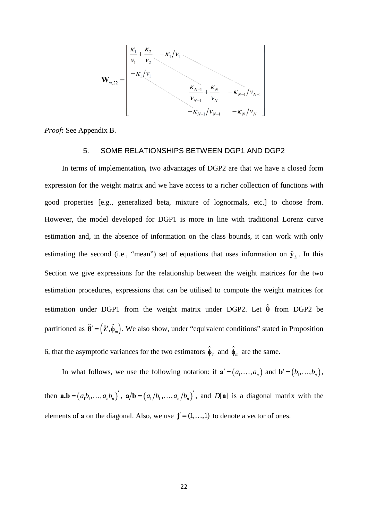

*Proof:* See Appendix B.

### 5. SOME RELATIONSHIPS BETWEEN DGP1 AND DGP2

 In terms of implementation*,* two advantages of DGP2 are that we have a closed form expression for the weight matrix and we have access to a richer collection of functions with good properties [e.g., generalized beta, mixture of lognormals, etc.] to choose from. However, the model developed for DGP1 is more in line with traditional Lorenz curve estimation and, in the absence of information on the class bounds, it can work with only estimating the second (i.e., "mean") set of equations that uses information on  $\tilde{\mathbf{y}}_L$ . In this Section we give expressions for the relationship between the weight matrices for the two estimation procedures, expressions that can be utilised to compute the weight matrices for estimation under DGP1 from the weight matrix under DGP2. Let  $\hat{\theta}$  from DGP2 be partitioned as  $\hat{\theta}' = (\hat{z}', \hat{\phi}_m)$ . We also show, under "equivalent conditions" stated in Proposition 6, that the asymptotic variances for the two estimators  $\hat{\phi}_L$  and  $\hat{\phi}_m$  are the same.

In what follows, we use the following notation: if  $\mathbf{a}' = (a_1, \ldots, a_n)$  and  $\mathbf{b}' = (b_1, \ldots, b_n)$ , then  $\mathbf{a}.\mathbf{b} = (a_1b_1, \dots, a_nb_n)$ ,  $\mathbf{a}/\mathbf{b} = (a_1/b_1, \dots, a_n/b_n)$ , and  $D[\mathbf{a}]$  is a diagonal matrix with the elements of **a** on the diagonal. Also, we use  $\mathbf{j}' = (1, \dots, 1)$  to denote a vector of ones.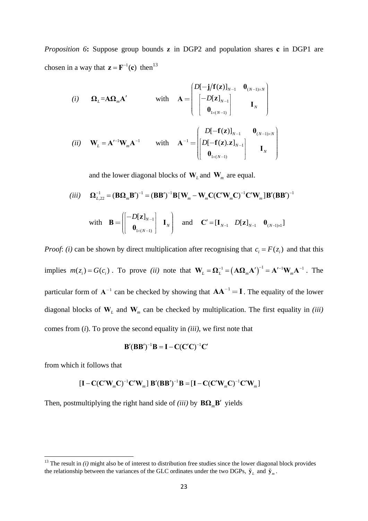*Proposition 6***:** Suppose group bounds **z** in DGP2 and population shares **c** in DGP1 are chosen in a way that  $z = F^{-1}(c)$  then<sup>13</sup>

(i) 
$$
\mathbf{\Omega}_L = \mathbf{A}\mathbf{\Omega}_m \mathbf{A}'
$$
 with  $\mathbf{A} = \begin{pmatrix} D[-\mathbf{j}/\mathbf{f}(\mathbf{z})]_{N-1} & \mathbf{0}_{(N-1)\times N} \\ -D[\mathbf{z}]_{N-1} & & \\ \mathbf{0}_{1\times (N-1)} & & \mathbf{I}_N \end{pmatrix}$ 

$$
(ii) \quad \mathbf{W}_{L} = \mathbf{A}'^{-1} \mathbf{W}_{m} \mathbf{A}^{-1} \qquad \text{with} \quad \mathbf{A}^{-1} = \begin{bmatrix} D[-\mathbf{f}(\mathbf{z})]_{N-1} & \mathbf{0}_{(N-1)\times N} \\ D[-\mathbf{f}(\mathbf{z}).\mathbf{z}]_{N-1} \\ \mathbf{0}_{1\times(N-1)} \end{bmatrix} \qquad \mathbf{I}_{N}
$$

and the lower diagonal blocks of  $W_L$  and  $W_m$  are equal.

$$
(iii) \quad \Omega_{L,22}^{-1} = (\mathbf{B}\Omega_m \mathbf{B}')^{-1} = (\mathbf{B}\mathbf{B}')^{-1} \mathbf{B} [\mathbf{W}_m - \mathbf{W}_m \mathbf{C} (\mathbf{C}' \mathbf{W}_m \mathbf{C})^{-1} \mathbf{C}' \mathbf{W}_m] \mathbf{B}' (\mathbf{B}\mathbf{B}')^{-1}
$$
  
with 
$$
\mathbf{B} = \begin{bmatrix} -D[\mathbf{z}]_{N-1} \\ \mathbf{0}_{1 \times (N-1)} \end{bmatrix} \mathbf{I}_N \quad \text{and} \quad \mathbf{C}' = [\mathbf{I}_{N-1} \quad D[\mathbf{z}]_{N-1} \quad \mathbf{0}_{(N-1) \times 1}]
$$

*Proof: (i)* can be shown by direct multiplication after recognising that  $c_i = F(z_i)$  and that this implies  $m(z_i) = G(c_i)$ . To prove *(ii)* note that  $\mathbf{W}_L = \mathbf{\Omega}_L^{-1} = (\mathbf{A}\mathbf{\Omega}_m \mathbf{A}')^{-1} = \mathbf{A}'^{-1} \mathbf{W}_m \mathbf{A}^{-1}$  $W_L = \Omega_L^{-1} = (A\Omega_m A')^{-1} = A'^{-1}W_m A^{-1}$ . The particular form of  $A^{-1}$  can be checked by showing that  $AA^{-1} = I$ . The equality of the lower diagonal blocks of **W***L* and **W***m* can be checked by multiplication. The first equality in *(iii)*  comes from (*i*). To prove the second equality in *(iii)*, we first note that

$$
\mathbf{B}'(\mathbf{B}\mathbf{B}')^{-1}\mathbf{B} = \mathbf{I} - \mathbf{C}(\mathbf{C}'\mathbf{C})^{-1}\mathbf{C}'
$$

from which it follows that

$$
\left[\mathbf{I} - \mathbf{C}(\mathbf{C}'\mathbf{W}_{m}\mathbf{C})^{-1}\mathbf{C}'\mathbf{W}_{m}\right]\mathbf{B}'(\mathbf{B}\mathbf{B}')^{-1}\mathbf{B} = \left[\mathbf{I} - \mathbf{C}(\mathbf{C}'\mathbf{W}_{m}\mathbf{C})^{-1}\mathbf{C}'\mathbf{W}_{m}\right]
$$

Then, postmultiplying the right hand side of *(iii)* by  $\mathbf{B}\Omega_{\dots}\mathbf{B}'$  yields

 $13$ <sup>13</sup> The result in *(i)* might also be of interest to distribution free studies since the lower diagonal block provides the relationship between the variances of the GLC ordinates under the two DGPs,  $\tilde{\mathbf{y}}_l$  and  $\tilde{\mathbf{y}}_m$ .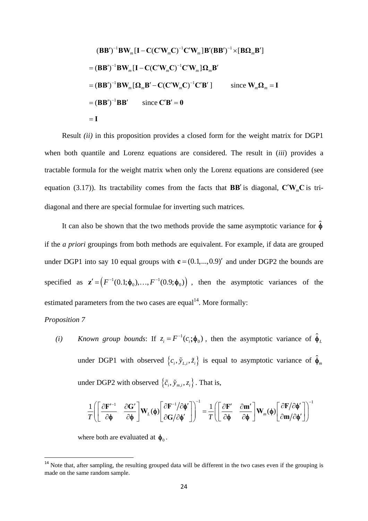$$
(\mathbf{B}\mathbf{B}')^{-1}\mathbf{B}\mathbf{W}_{m}[\mathbf{I}-\mathbf{C}(\mathbf{C}'\mathbf{W}_{m}\mathbf{C})^{-1}\mathbf{C}'\mathbf{W}_{m}]\mathbf{B}'(\mathbf{B}\mathbf{B}')^{-1}\times[\mathbf{B}\mathbf{\Omega}_{m}\mathbf{B}']
$$
  
=  $(\mathbf{B}\mathbf{B}')^{-1}\mathbf{B}\mathbf{W}_{m}[\mathbf{I}-\mathbf{C}(\mathbf{C}'\mathbf{W}_{m}\mathbf{C})^{-1}\mathbf{C}'\mathbf{W}_{m}]\mathbf{\Omega}_{m}\mathbf{B}'$   
=  $(\mathbf{B}\mathbf{B}')^{-1}\mathbf{B}\mathbf{W}_{m}[\mathbf{\Omega}_{m}\mathbf{B}'-\mathbf{C}(\mathbf{C}'\mathbf{W}_{m}\mathbf{C})^{-1}\mathbf{C}'\mathbf{B}']$  since  $\mathbf{W}_{m}\mathbf{\Omega}_{m}=\mathbf{I}$   
=  $(\mathbf{B}\mathbf{B}')^{-1}\mathbf{B}\mathbf{B}'$  since  $\mathbf{C}'\mathbf{B}'=0$   
=  $\mathbf{I}$ 

Result *(ii)* in this proposition provides a closed form for the weight matrix for DGP1 when both quantile and Lorenz equations are considered. The result in (*iii*) provides a tractable formula for the weight matrix when only the Lorenz equations are considered (see equation (3.17)). Its tractability comes from the facts that **BB'** is diagonal,  $\mathbf{C}'\mathbf{W}_{m}\mathbf{C}$  is tridiagonal and there are special formulae for inverting such matrices.

It can also be shown that the two methods provide the same asymptotic variance for  $\hat{\phi}$ if the *a priori* groupings from both methods are equivalent. For example, if data are grouped under DGP1 into say 10 equal groups with  $\mathbf{c} = (0.1,...,0.9)'$  and under DGP2 the bounds are specified as  $\mathbf{z}' = (F^{-1}(0.1; \phi_0), ..., F^{-1}(0.9; \phi_0))$ , then the asymptotic variances of the estimated parameters from the two cases are equal<sup>14</sup>. More formally:

### *Proposition 7*

*(i) Known group bounds*: If  $z_i = F^{-1}(c_i; \phi_0)$ , then the asymptotic variance of  $\hat{\phi}_L$ under DGP1 with observed  $\{c_i, \tilde{y}_{L,i}, \tilde{z}_i\}$  is equal to asymptotic variance of  $\hat{\phi}_m$ under DGP2 with observed  $\{\tilde{c}_i, \tilde{y}_{m,i}, z_i\}$ . That is,

$$
\frac{1}{T}\!\!\left(\!\left[\begin{array}{cc}\frac{\partial \mathbf{F}'^{-1}}{\partial \boldsymbol{\phi}} & \frac{\partial \mathbf{G}'}{\partial \boldsymbol{\phi}}\end{array}\!\right]\!\mathbf{W}_{L}(\boldsymbol{\phi})\!\!\left[\begin{array}{cc}\frac{\partial \mathbf{F}^{-1}}{\partial \boldsymbol{\phi}}' \\ \frac{\partial \mathbf{G}}{\partial \boldsymbol{\phi}}'\end{array}\!\right]\!\right)^{-1} = \frac{1}{T}\!\left(\!\left[\begin{array}{cc}\frac{\partial \mathbf{F}'}{\partial \boldsymbol{\phi}} & \frac{\partial \mathbf{m}'}{\partial \boldsymbol{\phi}} \\ \frac{\partial \boldsymbol{\phi}}{\partial \boldsymbol{\phi}} & \frac{\partial \mathbf{m}'}{\partial \boldsymbol{\phi}}\end{array}\!\right]\!\mathbf{W}_{m}(\boldsymbol{\phi})\!\left[\begin{array}{cc}\frac{\partial \mathbf{F}}{\partial \boldsymbol{\phi}}\prime \\ \frac{\partial \mathbf{m}}{\partial \boldsymbol{\phi}}'\end{array}\!\right]\!\right)^{-1}
$$

where both are evaluated at  $\phi_0$ .

 $14$  Note that, after sampling, the resulting grouped data will be different in the two cases even if the grouping is made on the same random sample.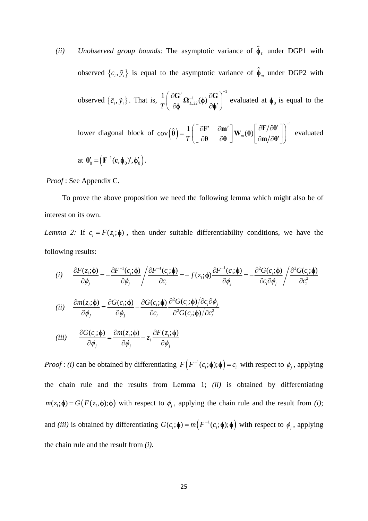(*ii*) *Unobserved group bounds*: The asymptotic variance of  $\hat{\phi}_L$  under DGP1 with observed  $\{c_i, \tilde{y}_i\}$  is equal to the asymptotic variance of  $\hat{\phi}_m$  under DGP2 with observed  $\{\tilde{c}_i, \tilde{y}_i\}$ . That is, 1 1  $\frac{1}{T} \left( \frac{\partial \mathbf{G}'}{\partial \phi} \mathbf{\Omega}_{L,22}^{-1}(\phi) \frac{\partial \mathbf{G}}{\partial \phi'} \right)^{-1}$  evaluated at  $\phi_0$  is equal to the lower diagonal block of cov $(\hat{\theta})$  $\mathbf{cov}\left(\hat{\boldsymbol{\theta}}\right) = \frac{1}{T} \left( \begin{bmatrix} \frac{\partial \mathbf{F}'}{\partial \mathbf{\theta}} & \frac{\partial \mathbf{m}'}{\partial \mathbf{\theta}} \end{bmatrix} \mathbf{W}_m(\boldsymbol{\theta}) \begin{bmatrix} \frac{\partial \mathbf{F}}{\partial \mathbf{\theta}}' \\ \frac{\partial \mathbf{m}}{\partial \mathbf{\theta}'} \end{bmatrix} \right)^{-1}$ **θ**  $\partial θ$   $\int$   $\limsup$   $\int$   $\partial$  **m**  $\partial$   $\theta$  evaluated at  $\mathbf{\theta}'_0 = (\mathbf{F}^{-1}(\mathbf{c}, \mathbf{\phi}_0)', \mathbf{\phi}'_0).$ 

 *Proof* : See Appendix C.

 To prove the above proposition we need the following lemma which might also be of interest on its own.

*Lemma 2:* If  $c_i = F(z_i; \phi)$ , then under suitable differentiability conditions, we have the following results:

(i) 
$$
\frac{\partial F(z_i; \phi)}{\partial \phi_j} = -\frac{\partial F^{-1}(c_i; \phi)}{\partial \phi_j} / \frac{\partial F^{-1}(c_i; \phi)}{\partial c_i} = -f(z_i; \phi) \frac{\partial F^{-1}(c_i; \phi)}{\partial \phi_j} = -\frac{\partial^2 G(c_i; \phi)}{\partial c_i \partial \phi_j} / \frac{\partial^2 G(c_i; \phi)}{\partial c_i^2}
$$
\n(ii) 
$$
\frac{\partial m(z_i; \phi)}{\partial \phi_j} = \frac{\partial G(c_i; \phi)}{\partial \phi_j} - \frac{\partial G(c_i; \phi)}{\partial c_i} \frac{\partial^2 G(c_i; \phi)}{\partial^2 G(c_i; \phi)} / \frac{\partial c_i \partial \phi_j}{\partial c_i^2}
$$
\n(iii) 
$$
\frac{\partial G(c_i; \phi)}{\partial \phi_j} = \frac{\partial m(z_i; \phi)}{\partial \phi_j} - z_i \frac{\partial F(z_i; \phi)}{\partial \phi_j}
$$

*Proof*: *(i)* can be obtained by differentiating  $F(F^{-1}(c_i; \phi); \phi) = c_i$  with respect to  $\phi_i$ , applying the chain rule and the results from Lemma 1; *(ii)* is obtained by differentiating  $m(z_i; \phi) = G(F(z_i, \phi); \phi)$  with respect to  $\phi_i$ , applying the chain rule and the result from *(i)*; and *(iii)* is obtained by differentiating  $G(c_i; \phi) = m(F^{-1}(c_i; \phi); \phi)$  with respect to  $\phi_j$ , applying the chain rule and the result from *(i)*.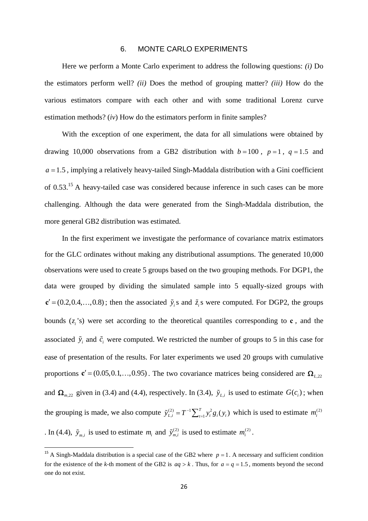#### 6. MONTE CARLO EXPERIMENTS

Here we perform a Monte Carlo experiment to address the following questions: *(i)* Do the estimators perform well? *(ii)* Does the method of grouping matter? *(iii)* How do the various estimators compare with each other and with some traditional Lorenz curve estimation methods? (*iv*) How do the estimators perform in finite samples?

With the exception of one experiment, the data for all simulations were obtained by drawing 10,000 observations from a GB2 distribution with  $b = 100$ ,  $p = 1$ ,  $q = 1.5$  and  $a = 1.5$ , implying a relatively heavy-tailed Singh-Maddala distribution with a Gini coefficient of 0.53.15 A heavy-tailed case was considered because inference in such cases can be more challenging. Although the data were generated from the Singh-Maddala distribution, the more general GB2 distribution was estimated.

In the first experiment we investigate the performance of covariance matrix estimators for the GLC ordinates without making any distributional assumptions. The generated 10,000 observations were used to create 5 groups based on the two grouping methods. For DGP1, the data were grouped by dividing the simulated sample into 5 equally-sized groups with  ${\bf c}' = (0.2, 0.4, \ldots, 0.8)$ ; then the associated  $\tilde{y}_i$  s and  $\tilde{z}_i$  s were computed. For DGP2, the groups bounds  $(z_i)$  *i*s) were set according to the theoretical quantiles corresponding to **c**, and the associated  $\tilde{y}_i$  and  $\tilde{c}_i$  were computed. We restricted the number of groups to 5 in this case for ease of presentation of the results. For later experiments we used 20 groups with cumulative proportions  $\mathbf{c}' = (0.05, 0.1, \dots, 0.95)$ . The two covariance matrices being considered are  $\mathbf{\Omega}_{L,22}$ and  $\Omega_{m,22}$  given in (3.4) and (4.4), respectively. In (3.4),  $\tilde{y}_{L,i}$  is used to estimate  $G(c_i)$ ; when the grouping is made, we also compute  $\tilde{y}_{L,i}^{(2)} = T^{-1} \sum_{t=1}^{T} y_t^2 g_i(y_t)$  which is used to estimate  $m_i^{(2)}$ . In (4.4),  $\tilde{y}_{m,i}$  is used to estimate  $m_i$  and  $\tilde{y}_{m,i}^{(2)}$  is used to estimate  $m_i^{(2)}$ .

<sup>&</sup>lt;sup>15</sup> A Singh-Maddala distribution is a special case of the GB2 where  $p = 1$ . A necessary and sufficient condition for the existence of the *k*-th moment of the GB2 is  $aq > k$ . Thus, for  $a = q = 1.5$ , moments beyond the second one do not exist.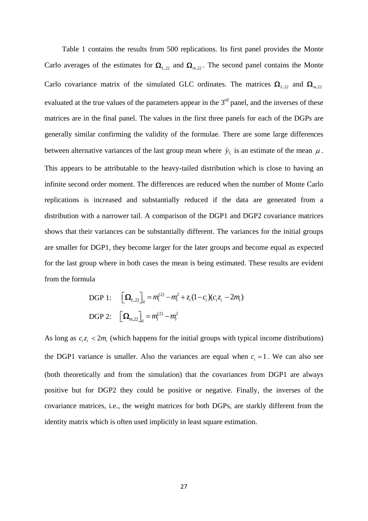Table 1 contains the results from 500 replications. Its first panel provides the Monte Carlo averages of the estimates for  $\Omega_{L,22}$  and  $\Omega_{m,22}$ . The second panel contains the Monte Carlo covariance matrix of the simulated GLC ordinates. The matrices  $\Omega_{L,22}$  and  $\Omega_{m,22}$ evaluated at the true values of the parameters appear in the  $3<sup>rd</sup>$  panel, and the inverses of these matrices are in the final panel. The values in the first three panels for each of the DGPs are generally similar confirming the validity of the formulae. There are some large differences between alternative variances of the last group mean where  $\tilde{y}_5$  is an estimate of the mean  $\mu$ . This appears to be attributable to the heavy-tailed distribution which is close to having an infinite second order moment. The differences are reduced when the number of Monte Carlo replications is increased and substantially reduced if the data are generated from a distribution with a narrower tail. A comparison of the DGP1 and DGP2 covariance matrices shows that their variances can be substantially different. The variances for the initial groups are smaller for DGP1, they become larger for the later groups and become equal as expected for the last group where in both cases the mean is being estimated. These results are evident from the formula

DGP 1: 
$$
\left[\mathbf{\Omega}_{L,22}\right]_{ii} = m_i^{(2)} - m_i^2 + z_i(1-c_i)(c_i z_i - 2m_i)
$$
  
DGP 2: 
$$
\left[\mathbf{\Omega}_{m,22}\right]_{ii} = m_i^{(2)} - m_i^2
$$

As long as  $c_i z_i < 2m_i$  (which happens for the initial groups with typical income distributions) the DGP1 variance is smaller. Also the variances are equal when  $c_i = 1$ . We can also see (both theoretically and from the simulation) that the covariances from DGP1 are always positive but for DGP2 they could be positive or negative. Finally, the inverses of the covariance matrices, i.e., the weight matrices for both DGPs, are starkly different from the identity matrix which is often used implicitly in least square estimation.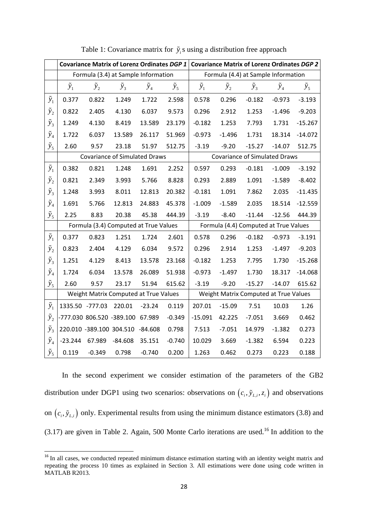|               |                 |               | <b>Covariance Matrix of Lorenz Ordinates DGP 1</b> |               | <b>Covariance Matrix of Lorenz Ordinates DGP 2</b> |                                       |               |                                       |               |               |  |
|---------------|-----------------|---------------|----------------------------------------------------|---------------|----------------------------------------------------|---------------------------------------|---------------|---------------------------------------|---------------|---------------|--|
|               |                 |               | Formula (3.4) at Sample Information                |               |                                                    | Formula (4.4) at Sample Information   |               |                                       |               |               |  |
|               | $\tilde{y}_1$   | $\tilde{y}_2$ | $\tilde{y}_3$                                      | $\tilde{y}_4$ | $\tilde{y}_5$                                      | $\tilde{y}_1$                         | $\tilde{y}_2$ | $\tilde{y}_3$                         | $\tilde{y}_4$ | $\tilde{y}_5$ |  |
| $\tilde{y}_1$ | 0.377           | 0.822         | 1.249                                              | 1.722         | 2.598                                              | 0.578                                 | 0.296         | $-0.182$                              | $-0.973$      | $-3.193$      |  |
| $\tilde{y}_2$ | 0.822           | 2.405         | 4.130                                              | 6.037         | 9.573                                              | 0.296                                 | 2.912         | 1.253                                 | $-1.496$      | $-9.203$      |  |
| $\tilde{y}_3$ | 1.249           | 4.130         | 8.419                                              | 13.589        | 23.179                                             | $-0.182$                              | 1.253         | 7.793                                 | 1.731         | $-15.267$     |  |
| $\tilde{y}_4$ | 1.722           | 6.037         | 13.589                                             | 26.117        | 51.969                                             | $-0.973$                              | $-1.496$      | 1.731                                 | 18.314        | $-14.072$     |  |
| $\tilde{y}_5$ | 2.60            | 9.57          | 23.18                                              | 51.97         | 512.75                                             | $-3.19$                               | $-9.20$       | $-15.27$                              | $-14.07$      | 512.75        |  |
|               |                 |               | <b>Covariance of Simulated Draws</b>               |               |                                                    |                                       |               | <b>Covariance of Simulated Draws</b>  |               |               |  |
| $\tilde{y}_1$ | 0.382           | 0.821         | 1.248                                              | 1.691         | 2.252                                              | 0.597                                 | 0.293         | $-0.181$                              | $-1.009$      | $-3.192$      |  |
| $\tilde{y}_2$ | 0.821           | 2.349         | 3.993                                              | 5.766         | 8.828                                              | 0.293                                 | 2.889         | 1.091                                 | $-1.589$      | $-8.402$      |  |
| $\tilde{y}_3$ | 1.248           | 3.993         | 8.011                                              | 12.813        | 20.382                                             | $-0.181$                              | 1.091         | 7.862                                 | 2.035         | $-11.435$     |  |
| $\tilde{y}_4$ | 1.691           | 5.766         | 12.813                                             | 24.883        | 45.378                                             | $-1.009$                              | $-1.589$      | 2.035                                 | 18.514        | $-12.559$     |  |
| $\tilde{y}_5$ | 2.25            | 8.83          | 20.38                                              | 45.38         | 444.39                                             | $-3.19$                               | $-8.40$       | $-11.44$                              | $-12.56$      | 444.39        |  |
|               |                 |               | Formula (3.4) Computed at True Values              |               |                                                    | Formula (4.4) Computed at True Values |               |                                       |               |               |  |
| $\tilde{y}_1$ | 0.377           | 0.823         | 1.251                                              | 1.724         | 2.601                                              | 0.578                                 | 0.296         | $-0.182$                              | $-0.973$      | $-3.191$      |  |
| $\tilde{y}_2$ | 0.823           | 2.404         | 4.129                                              | 6.034         | 9.572                                              | 0.296                                 | 2.914         | 1.253                                 | $-1.497$      | $-9.203$      |  |
| $\tilde{y}_3$ | 1.251           | 4.129         | 8.413                                              | 13.578        | 23.168                                             | $-0.182$                              | 1.253         | 7.795                                 | 1.730         | $-15.268$     |  |
| $\tilde{y}_4$ | 1.724           | 6.034         | 13.578                                             | 26.089        | 51.938                                             | $-0.973$                              | $-1.497$      | 1.730                                 | 18.317        | $-14.068$     |  |
| $\tilde{y}_5$ | 2.60            | 9.57          | 23.17                                              | 51.94         | 615.62                                             | $-3.19$                               | $-9.20$       | $-15.27$                              | $-14.07$      | 615.62        |  |
|               |                 |               | Weight Matrix Computed at True Values              |               |                                                    |                                       |               | Weight Matrix Computed at True Values |               |               |  |
| $\tilde{y}_1$ | 1335.50 -777.03 |               | 220.01                                             | $-23.24$      | 0.119                                              | 207.01                                | $-15.09$      | 7.51                                  | 10.03         | 1.26          |  |
| $\tilde{y}_2$ |                 |               | -777.030 806.520 -389.100                          | 67.989        | $-0.349$                                           | $-15.091$                             | 42.225        | $-7.051$                              | 3.669         | 0.462         |  |
| $\tilde{y}_3$ |                 |               | 220.010 -389.100 304.510 -84.608                   |               | 0.798                                              | 7.513                                 | $-7.051$      | 14.979                                | $-1.382$      | 0.273         |  |
| $\tilde{y}_4$ | $-23.244$       | 67.989        | $-84.608$                                          | 35.151        | $-0.740$                                           | 10.029                                | 3.669         | $-1.382$                              | 6.594         | 0.223         |  |
| $\tilde{y}_5$ | 0.119           | $-0.349$      | 0.798                                              | $-0.740$      | 0.200                                              | 1.263                                 | 0.462         | 0.273                                 | 0.223         | 0.188         |  |

Table 1: Covariance matrix for  $\tilde{y}_i$  s using a distribution free approach

In the second experiment we consider estimation of the parameters of the GB2 distribution under DGP1 using two scenarios: observations on  $(c_i, \tilde{y}_{L,i}, z_i)$  and observations on  $(c_i, \tilde{y}_{i,i})$  only. Experimental results from using the minimum distance estimators (3.8) and  $(3.17)$  are given in Table 2. Again, 500 Monte Carlo iterations are used.<sup>16</sup> In addition to the

<sup>&</sup>lt;sup>16</sup> In all cases, we conducted repeated minimum distance estimation starting with an identity weight matrix and repeating the process 10 times as explained in Section 3. All estimations were done using code written in MATLAB R2013.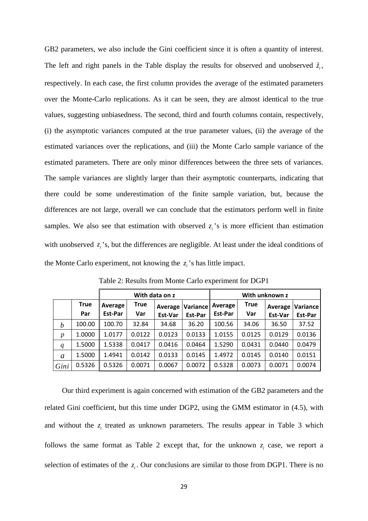GB2 parameters, we also include the Gini coefficient since it is often a quantity of interest. The left and right panels in the Table display the results for observed and unobserved  $\tilde{z}_i$ , respectively. In each case, the first column provides the average of the estimated parameters over the Monte-Carlo replications. As it can be seen, they are almost identical to the true values, suggesting unbiasedness. The second, third and fourth columns contain, respectively, (i) the asymptotic variances computed at the true parameter values, (ii) the average of the estimated variances over the replications, and (iii) the Monte Carlo sample variance of the estimated parameters. There are only minor differences between the three sets of variances. The sample variances are slightly larger than their asymptotic counterparts, indicating that there could be some underestimation of the finite sample variation, but, because the differences are not large, overall we can conclude that the estimators perform well in finite samples. We also see that estimation with observed  $z_i$ 's is more efficient than estimation with unobserved  $z_i$ 's, but the differences are negligible. At least under the ideal conditions of the Monte Carlo experiment, not knowing the  $z_i$ 's has little impact.

| With data on z<br>With unknown z |             |         |        |         |                         |         |             |         |          |
|----------------------------------|-------------|---------|--------|---------|-------------------------|---------|-------------|---------|----------|
|                                  | <b>True</b> | Average | True   |         | <b>Average Variance</b> | Average | <b>True</b> | Average | Variance |
|                                  | Par         | Est-Par | Var    | Est-Var | Est-Par                 | Est-Par | Var         | Est-Var | Est-Par  |
| b                                | 100.00      | 100.70  | 32.84  | 34.68   | 36.20                   | 100.56  | 34.06       | 36.50   | 37.52    |
| $\boldsymbol{p}$                 | 1.0000      | 1.0177  | 0.0122 | 0.0123  | 0.0133                  | 1.0155  | 0.0125      | 0.0129  | 0.0136   |
| q                                | 1.5000      | 1.5338  | 0.0417 | 0.0416  | 0.0464                  | 1.5290  | 0.0431      | 0.0440  | 0.0479   |
| a                                | 1.5000      | 1.4941  | 0.0142 | 0.0133  | 0.0145                  | 1.4972  | 0.0145      | 0.0140  | 0.0151   |
| Gini                             | 0.5326      | 0.5326  | 0.0071 | 0.0067  | 0.0072                  | 0.5328  | 0.0073      | 0.0071  | 0.0074   |

Table 2: Results from Monte Carlo experiment for DGP1

Our third experiment is again concerned with estimation of the GB2 parameters and the related Gini coefficient, but this time under DGP2, using the GMM estimator in (4.5), with and without the  $z_i$  treated as unknown parameters. The results appear in Table 3 which follows the same format as Table 2 except that, for the unknown  $z_i$  case, we report a selection of estimates of the  $z_i$ . Our conclusions are similar to those from DGP1. There is no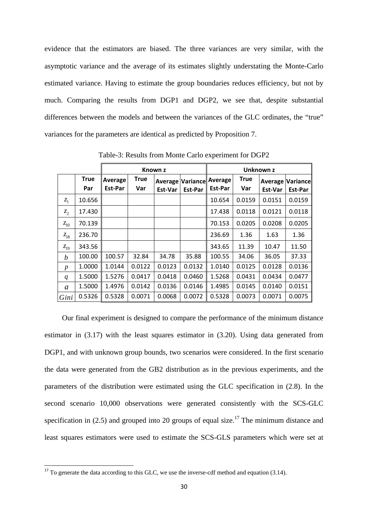evidence that the estimators are biased. The three variances are very similar, with the asymptotic variance and the average of its estimates slightly understating the Monte-Carlo estimated variance. Having to estimate the group boundaries reduces efficiency, but not by much. Comparing the results from DGP1 and DGP2, we see that, despite substantial differences between the models and between the variances of the GLC ordinates, the "true" variances for the parameters are identical as predicted by Proposition 7.

|                  |                    |                    |                    | Known z            |                     | Unknown z          |                    |                                    |         |  |  |
|------------------|--------------------|--------------------|--------------------|--------------------|---------------------|--------------------|--------------------|------------------------------------|---------|--|--|
|                  | <b>True</b><br>Par | Average<br>Est-Par | <b>True</b><br>Var | Average<br>Est-Var | Variance<br>Est-Par | Average<br>Est-Par | <b>True</b><br>Var | <b>Average Variance</b><br>Est-Var | Est-Par |  |  |
| $z_1$            | 10.656             |                    |                    |                    |                     | 10.654             | 0.0159             | 0.0151                             | 0.0159  |  |  |
| $z_2$            | 17.430             |                    |                    |                    |                     | 17.438             | 0.0118             | 0.0121                             | 0.0118  |  |  |
| $z_{10}$         | 70.139             |                    |                    |                    |                     | 70.153             | 0.0205             | 0.0208                             | 0.0205  |  |  |
| $z_{18}$         | 236.70             |                    |                    |                    |                     | 236.69             | 1.36               | 1.63                               | 1.36    |  |  |
| $z_{19}$         | 343.56             |                    |                    |                    |                     | 343.65             | 11.39              | 10.47                              | 11.50   |  |  |
| b                | 100.00             | 100.57             | 32.84              | 34.78              | 35.88               | 100.55             | 34.06              | 36.05                              | 37.33   |  |  |
| $\boldsymbol{p}$ | 1.0000             | 1.0144             | 0.0122             | 0.0123             | 0.0132              | 1.0140             | 0.0125             | 0.0128                             | 0.0136  |  |  |
| q                | 1.5000             | 1.5276             | 0.0417             | 0.0418             | 0.0460              | 1.5268             | 0.0431             | 0.0434                             | 0.0477  |  |  |
| $\mathfrak a$    | 1.5000             | 1.4976             | 0.0142             | 0.0136             | 0.0146              | 1.4985             | 0.0145             | 0.0140                             | 0.0151  |  |  |
| Gini             | 0.5326             | 0.5328             | 0.0071             | 0.0068             | 0.0072              | 0.5328             | 0.0073             | 0.0071                             | 0.0075  |  |  |

Table-3: Results from Monte Carlo experiment for DGP2

 Our final experiment is designed to compare the performance of the minimum distance estimator in (3.17) with the least squares estimator in (3.20). Using data generated from DGP1, and with unknown group bounds, two scenarios were considered. In the first scenario the data were generated from the GB2 distribution as in the previous experiments, and the parameters of the distribution were estimated using the GLC specification in (2.8). In the second scenario 10,000 observations were generated consistently with the SCS-GLC specification in (2.5) and grouped into 20 groups of equal size.<sup>17</sup> The minimum distance and least squares estimators were used to estimate the SCS-GLS parameters which were set at

 $17$  To generate the data according to this GLC, we use the inverse-cdf method and equation (3.14).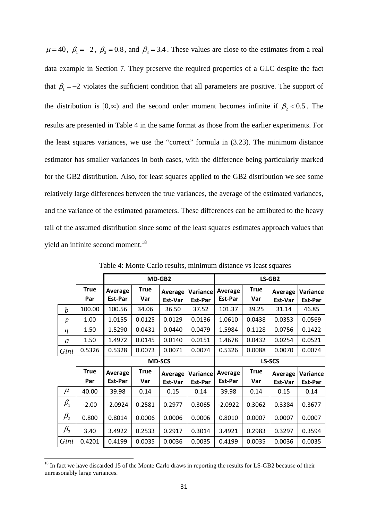$\mu = 40$ ,  $\beta_1 = -2$ ,  $\beta_2 = 0.8$ , and  $\beta_3 = 3.4$ . These values are close to the estimates from a real data example in Section 7. They preserve the required properties of a GLC despite the fact that  $\beta_1 = -2$  violates the sufficient condition that all parameters are positive. The support of the distribution is  $[0, \infty)$  and the second order moment becomes infinite if  $\beta$ , < 0.5. The results are presented in Table 4 in the same format as those from the earlier experiments. For the least squares variances, we use the "correct" formula in (3.23). The minimum distance estimator has smaller variances in both cases, with the difference being particularly marked for the GB2 distribution. Also, for least squares applied to the GB2 distribution we see some relatively large differences between the true variances, the average of the estimated variances, and the variance of the estimated parameters. These differences can be attributed to the heavy tail of the assumed distribution since some of the least squares estimates approach values that yield an infinite second moment.<sup>18</sup>

|                                |                    |                    |                    | MD-GB2             |                     |                    | LS-GB2             |                    |                     |  |
|--------------------------------|--------------------|--------------------|--------------------|--------------------|---------------------|--------------------|--------------------|--------------------|---------------------|--|
|                                | <b>True</b><br>Par | Average<br>Est-Par | <b>True</b><br>Var | Average<br>Est-Var | Variance<br>Est-Par | Average<br>Est-Par | <b>True</b><br>Var | Average<br>Est-Var | Variance<br>Est-Par |  |
| $\boldsymbol{b}$               | 100.00             | 100.56             | 34.06              | 36.50              | 37.52               | 101.37             | 39.25              | 31.14              | 46.85               |  |
| $\boldsymbol{p}$               | 1.00               | 1.0155             | 0.0125             | 0.0129             | 0.0136              | 1.0610             | 0.0438             | 0.0353             | 0.0569              |  |
| $\boldsymbol{q}$               | 1.50               | 1.5290             | 0.0431             | 0.0440             | 0.0479              | 1.5984             | 0.1128             | 0.0756             | 0.1422              |  |
| a                              | 1.50               | 1.4972             | 0.0145             | 0.0140             | 0.0151              | 1.4678             | 0.0432             | 0.0254             | 0.0521              |  |
| Gini                           | 0.5326             | 0.5328             | 0.0073             | 0.0071             | 0.0074              | 0.5326             | 0.0088             | 0.0070             | 0.0074              |  |
|                                | <b>MD-SCS</b>      |                    |                    |                    |                     | LS-SCS             |                    |                    |                     |  |
|                                | <b>True</b>        | Average            | <b>True</b>        | Average            | Variance            | Average            | <b>True</b>        | Average            | Variance            |  |
|                                | Par                | Est-Par            | Var                | Est-Var            | Est-Par             | Est-Par            | Var                | Est-Var            | Est-Par             |  |
| $\mu$                          | 40.00              | 39.98              | 0.14               | 0.15               | 0.14                | 39.98              | 0.14               | 0.15               | 0.14                |  |
| $\beta_{\scriptscriptstyle 1}$ | $-2.00$            | $-2.0924$          | 0.2581             | 0.2977             | 0.3065              | $-2.0922$          | 0.3062             | 0.3384             | 0.3677              |  |
| $\beta_{\scriptscriptstyle 2}$ | 0.800              | 0.8014             | 0.0006             | 0.0006             | 0.0006              | 0.8010             | 0.0007             | 0.0007             | 0.0007              |  |
| $\beta_{3}$                    | 3.40               | 3.4922             | 0.2533             | 0.2917             | 0.3014              | 3.4921             | 0.2983             | 0.3297             | 0.3594              |  |
| Gini                           | 0.4201             | 0.4199             | 0.0035             | 0.0036             | 0.0035              | 0.4199             | 0.0035             | 0.0036             | 0.0035              |  |

Table 4: Monte Carlo results, minimum distance vs least squares

<sup>&</sup>lt;sup>18</sup> In fact we have discarded 15 of the Monte Carlo draws in reporting the results for LS-GB2 because of their unreasonably large variances.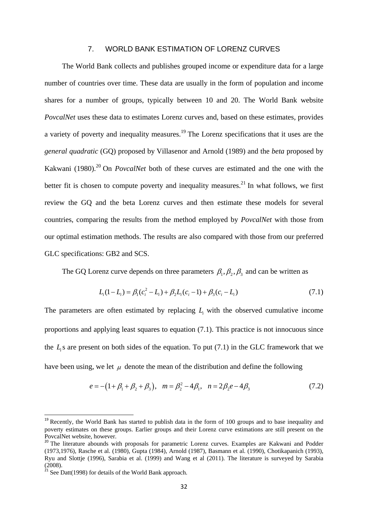### 7. WORLD BANK ESTIMATION OF LORENZ CURVES

The World Bank collects and publishes grouped income or expenditure data for a large number of countries over time. These data are usually in the form of population and income shares for a number of groups, typically between 10 and 20. The World Bank website *PovcalNet* uses these data to estimates Lorenz curves and, based on these estimates, provides a variety of poverty and inequality measures.<sup>19</sup> The Lorenz specifications that it uses are the *general quadratic* (GQ) proposed by Villasenor and Arnold (1989) and the *beta* proposed by Kakwani (1980).<sup>20</sup> On *PovcalNet* both of these curves are estimated and the one with the better fit is chosen to compute poverty and inequality measures.<sup>21</sup> In what follows, we first review the GQ and the beta Lorenz curves and then estimate these models for several countries, comparing the results from the method employed by *PovcalNet* with those from our optimal estimation methods. The results are also compared with those from our preferred GLC specifications: GB2 and SCS.

The GQ Lorenz curve depends on three parameters  $\beta_1$ ,  $\beta_2$ ,  $\beta_3$  and can be written as

$$
L_i(1 - L_i) = \beta_1(c_i^2 - L_i) + \beta_2 L_i(c_i - 1) + \beta_3(c_i - L_i)
$$
\n(7.1)

The parameters are often estimated by replacing  $L<sub>i</sub>$  with the observed cumulative income proportions and applying least squares to equation (7.1). This practice is not innocuous since the  $L<sub>i</sub>$ s are present on both sides of the equation. To put  $(7.1)$  in the GLC framework that we have been using, we let  $\mu$  denote the mean of the distribution and define the following

$$
e = -(1 + \beta_1 + \beta_2 + \beta_3), \quad m = \beta_2^2 - 4\beta_1, \quad n = 2\beta_2 e - 4\beta_3 \tag{7.2}
$$

<sup>&</sup>lt;sup>19</sup> Recently, the World Bank has started to publish data in the form of 100 groups and to base inequality and poverty estimates on these groups. Earlier groups and their Lorenz curve estimations are still present on the PovcalNet website, however.

<sup>&</sup>lt;sup>20</sup> The literature abounds with proposals for parametric Lorenz curves. Examples are Kakwani and Podder (1973,1976), Rasche et al. (1980), Gupta (1984), Arnold (1987), Basmann et al. (1990), Chotikapanich (1993), Ryu and Slottje (1996), Sarabia et al. (1999) and Wang et al (2011). The literature is surveyed by Sarabia (2008).

 $21$  See Datt(1998) for details of the World Bank approach.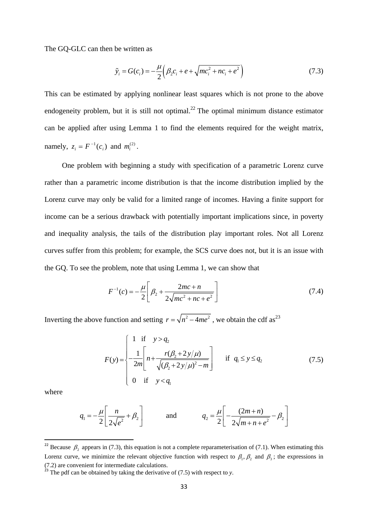The GQ-GLC can then be written as

$$
\tilde{y}_i = G(c_i) = -\frac{\mu}{2} \left( \beta_2 c_i + e + \sqrt{mc_i^2 + nc_i + e^2} \right)
$$
\n(7.3)

This can be estimated by applying nonlinear least squares which is not prone to the above endogeneity problem, but it is still not optimal.<sup>22</sup> The optimal minimum distance estimator can be applied after using Lemma 1 to find the elements required for the weight matrix, namely,  $z_i = F^{-1}(c_i)$  and  $m_i^{(2)}$ .

One problem with beginning a study with specification of a parametric Lorenz curve rather than a parametric income distribution is that the income distribution implied by the Lorenz curve may only be valid for a limited range of incomes. Having a finite support for income can be a serious drawback with potentially important implications since, in poverty and inequality analysis, the tails of the distribution play important roles. Not all Lorenz curves suffer from this problem; for example, the SCS curve does not, but it is an issue with the GQ. To see the problem, note that using Lemma 1, we can show that

$$
F^{-1}(c) = -\frac{\mu}{2} \left[ \beta_2 + \frac{2mc + n}{2\sqrt{mc^2 + nc + e^2}} \right]
$$
(7.4)

Inverting the above function and setting  $r = \sqrt{n^2 - 4me^2}$ , we obtain the cdf as<sup>23</sup>

$$
F(y) = \begin{cases} 1 & \text{if } y > q_2 \\ \frac{1}{2m} \left[ n + \frac{r(\beta_2 + 2y/\mu)}{\sqrt{(\beta_2 + 2y/\mu)^2 - m}} \right] & \text{if } q_1 \le y \le q_2 \\ 0 & \text{if } y < q_1 \end{cases}
$$
(7.5)

where

$$
q_1 = -\frac{\mu}{2} \left[ \frac{n}{2\sqrt{e^2}} + \beta_2 \right] \qquad \text{and} \qquad q_2 = \frac{\mu}{2} \left[ -\frac{(2m+n)}{2\sqrt{m+n+e^2}} - \beta_2 \right]
$$

<sup>&</sup>lt;sup>22</sup> Because  $\beta_2$  appears in (7.3), this equation is not a complete reparameterisation of (7.1). When estimating this Lorenz curve, we minimize the relevant objective function with respect to  $\beta_1$ ,  $\beta_2$  and  $\beta_3$ ; the expressions in (7.2) are convenient for intermediate calculations.

<sup>&</sup>lt;sup>23</sup> The pdf can be obtained by taking the derivative of  $(7.5)$  with respect to *y*.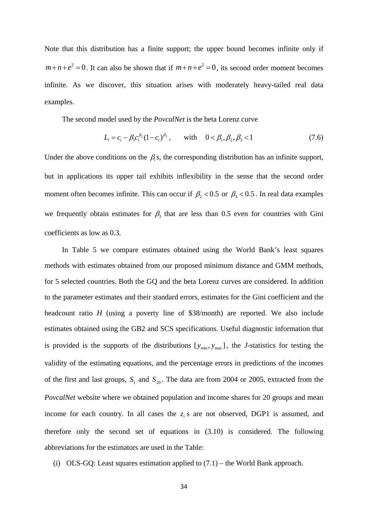Note that this distribution has a finite support; the upper bound becomes infinite only if  $m+n+e^2 = 0$ . It can also be shown that if  $m+n+e^2 = 0$ , its second order moment becomes infinite. As we discover, this situation arises with moderately heavy-tailed real data examples.

The second model used by the *PovcalNet* is the beta Lorenz curve

$$
L_i = c_i - \beta_1 c_i^{\beta_2} (1 - c_i)^{\beta_3}, \quad \text{with} \quad 0 < \beta_1, \beta_2, \beta_3 < 1 \tag{7.6}
$$

Under the above conditions on the  $\beta$ <sub>i</sub>s, the corresponding distribution has an infinite support, but in applications its upper tail exhibits inflexibility in the sense that the second order moment often becomes infinite. This can occur if  $\beta$ , < 0.5 or  $\beta$ , < 0.5 . In real data examples we frequently obtain estimates for  $\beta_3$  that are less than 0.5 even for countries with Gini coefficients as low as 0.3.

In Table 5 we compare estimates obtained using the World Bank's least squares methods with estimates obtained from our proposed minimum distance and GMM methods, for 5 selected countries. Both the GQ and the beta Lorenz curves are considered. In addition to the parameter estimates and their standard errors, estimates for the Gini coefficient and the headcount ratio *H* (using a poverty line of \$38/month) are reported. We also include estimates obtained using the GB2 and SCS specifications. Useful diagnostic information that is provided is the supports of the distributions  $[y_{min}, y_{max}]$ , the *J*-statistics for testing the validity of the estimating equations, and the percentage errors in predictions of the incomes of the first and last groups,  $S_1$  and  $S_{20}$ . The data are from 2004 or 2005, extracted from the *PovcalNet* website where we obtained population and income shares for 20 groups and mean income for each country. In all cases the  $z_i$  s are not observed, DGP1 is assumed, and therefore only the second set of equations in (3.10) is considered. The following abbreviations for the estimators are used in the Table:

(i) OLS-GQ: Least squares estimation applied to  $(7.1)$  – the World Bank approach.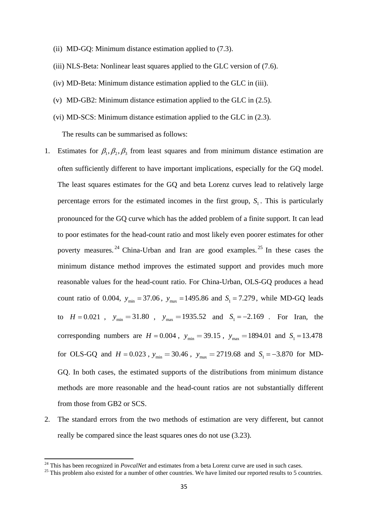- (ii) MD-GQ: Minimum distance estimation applied to (7.3).
- (iii) NLS-Beta: Nonlinear least squares applied to the GLC version of (7.6).
- (iv) MD-Beta: Minimum distance estimation applied to the GLC in (iii).
- (v) MD-GB2: Minimum distance estimation applied to the GLC in (2.5).
- (vi) MD-SCS: Minimum distance estimation applied to the GLC in (2.3).

The results can be summarised as follows:

- 1. Estimates for  $\beta_1, \beta_2, \beta_3$  from least squares and from minimum distance estimation are often sufficiently different to have important implications, especially for the GQ model. The least squares estimates for the GQ and beta Lorenz curves lead to relatively large percentage errors for the estimated incomes in the first group,  $S<sub>1</sub>$ . This is particularly pronounced for the GQ curve which has the added problem of a finite support. It can lead to poor estimates for the head-count ratio and most likely even poorer estimates for other poverty measures. <sup>24</sup> China-Urban and Iran are good examples. <sup>25</sup> In these cases the minimum distance method improves the estimated support and provides much more reasonable values for the head-count ratio. For China-Urban, OLS-GQ produces a head count ratio of 0.004,  $y_{min} = 37.06$ ,  $y_{max} = 1495.86$  and  $S_1 = 7.279$ , while MD-GQ leads to  $H = 0.021$ ,  $y_{min} = 31.80$ ,  $y_{max} = 1935.52$  and  $S_1 = -2.169$ . For Iran, the corresponding numbers are  $H = 0.004$ ,  $y_{min} = 39.15$ ,  $y_{max} = 1894.01$  and  $S_1 = 13.478$ for OLS-GQ and  $H = 0.023$ ,  $y_{min} = 30.46$ ,  $y_{max} = 2719.68$  and  $S_1 = -3.870$  for MD-GQ. In both cases, the estimated supports of the distributions from minimum distance methods are more reasonable and the head-count ratios are not substantially different from those from GB2 or SCS.
- 2. The standard errors from the two methods of estimation are very different, but cannot really be compared since the least squares ones do not use (3.23).

 $^{24}$  This has been recognized in *PovcalNet* and estimates from a beta Lorenz curve are used in such cases.

<sup>&</sup>lt;sup>25</sup> This problem also existed for a number of other countries. We have limited our reported results to 5 countries.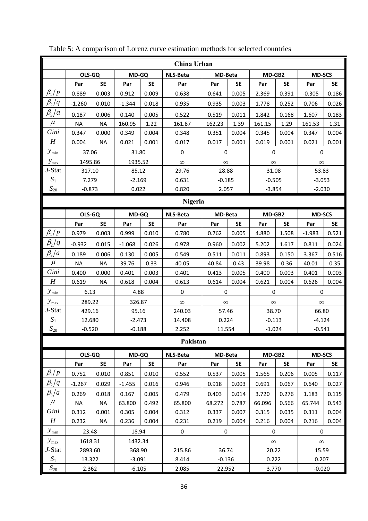|                                  |           |                    |              |           | China Urban     |                |           |                  |           |               |           |  |  |
|----------------------------------|-----------|--------------------|--------------|-----------|-----------------|----------------|-----------|------------------|-----------|---------------|-----------|--|--|
|                                  | OLS-GQ    |                    | MD-GQ        |           | NLS-Beta        | <b>MD-Beta</b> |           | MD-GB2           |           | <b>MD-SCS</b> |           |  |  |
|                                  | Par       | <b>SE</b>          | Par          | <b>SE</b> | Par             | Par            | <b>SE</b> | Par              | <b>SE</b> | Par           | <b>SE</b> |  |  |
| $\beta_{\rm 1}/p$                | 0.889     | 0.003              | 0.912        | 0.009     | 0.638           | 0.641          | 0.005     | 2.369            | 0.391     | $-0.305$      | 0.186     |  |  |
| $\beta_{\scriptscriptstyle 2}/q$ | $-1.260$  | 0.010              | $-1.344$     | 0.018     | 0.935           | 0.935          | 0.003     | 1.778            | 0.252     | 0.706         | 0.026     |  |  |
| $\beta_{3}/a$                    | 0.187     | 0.006              | 0.140        | 0.005     | 0.522           | 0.519          | 0.011     | 1.842            | 0.168     | 1.607         | 0.183     |  |  |
| $\mu$                            | <b>NA</b> | <b>NA</b>          | 160.95       | 1.22      | 161.87          | 162.23         | 1.39      | 161.15           | 1.29      | 161.53        | 1.31      |  |  |
| Gini                             | 0.347     | 0.000              | 0.349        | 0.004     | 0.348           | 0.351          | 0.004     | 0.345            | 0.004     | 0.347         | 0.004     |  |  |
| $\boldsymbol{H}$                 | 0.004     | <b>NA</b>          | 0.021        | 0.001     | 0.017           | 0.017          | 0.001     | 0.019            | 0.001     | 0.021         | 0.001     |  |  |
| $y_{\min}$                       | 37.06     |                    | 31.80        |           | $\mathbf 0$     | $\pmb{0}$      |           | $\boldsymbol{0}$ |           | $\mathbf 0$   |           |  |  |
| $y_{\text{max}}$                 | 1495.86   |                    | 1935.52      |           | $\infty$        | $\infty$       |           | $\infty$         |           | $\infty$      |           |  |  |
| J-Stat                           | 317.10    |                    | 85.12        |           | 29.76           | 28.88          |           | 31.08            |           | 53.83         |           |  |  |
| $S_1$                            | 7.279     |                    | $-2.169$     |           | 0.631           | $-0.185$       |           | $-0.505$         |           | $-3.053$      |           |  |  |
| $S_{20}$                         | $-0.873$  |                    | 0.022        |           | 0.820           | 2.057          |           | $-3.854$         |           | $-2.030$      |           |  |  |
|                                  | Nigeria   |                    |              |           |                 |                |           |                  |           |               |           |  |  |
|                                  | OLS-GQ    |                    | MD-GQ        |           | <b>NLS-Beta</b> | MD-Beta        |           | MD-GB2           |           | <b>MD-SCS</b> |           |  |  |
|                                  | Par       | <b>SE</b>          | Par          | <b>SE</b> | Par             | Par            | <b>SE</b> | Par              | <b>SE</b> | Par           | <b>SE</b> |  |  |
| $\beta_{\rm l}/\,p$              | 0.979     | 0.003              | 0.999        | 0.010     | 0.780           | 0.762          | 0.005     | 4.880            | 1.508     | $-1.983$      | 0.521     |  |  |
| $\beta_2/q$                      | $-0.932$  | 0.015              | $-1.068$     | 0.026     | 0.978           | 0.960          | 0.002     | 5.202            | 1.617     | 0.811         | 0.024     |  |  |
| $\beta_{3}/a$                    | 0.189     | 0.006              | 0.130        | 0.005     | 0.549           | 0.511          | 0.011     | 0.893            | 0.150     | 3.367         | 0.516     |  |  |
| $\mu$                            | <b>NA</b> | <b>NA</b>          | 39.76        | 0.33      | 40.05           | 40.84          | 0.43      | 39.98            | 0.36      | 40.01         | 0.35      |  |  |
| Gini                             | 0.400     | 0.000              | 0.401        | 0.003     | 0.401           | 0.413          | 0.005     | 0.400            | 0.003     | 0.401         | 0.003     |  |  |
| H                                | 0.619     | <b>NA</b>          | 0.618        | 0.004     | 0.613           | 0.614          | 0.004     | 0.621            | 0.004     | 0.626         | 0.004     |  |  |
| $y_{\min}$                       | 6.13      |                    | 4.88         |           | $\pmb{0}$       | 0              |           | $\pmb{0}$        |           | 0             |           |  |  |
| $y_{\text{max}}$                 | 289.22    |                    | 326.87       |           | $\infty$        | $\infty$       |           | $\infty$         |           | $\infty$      |           |  |  |
| J-Stat                           | 429.16    | 95.16              |              | 240.03    | 57.46           |                | 38.70     |                  | 66.80     |               |           |  |  |
| $S_1$                            |           | 12.680<br>$-2.473$ |              | 14.408    | 0.224           |                | $-0.113$  |                  | $-4.124$  |               |           |  |  |
| ${\cal S}_{20}$                  | $-0.520$  |                    | $-0.188$     |           | 2.252           | 11.554         |           | $-1.024$         |           | $-0.541$      |           |  |  |
|                                  |           |                    |              |           | Pakistan        |                |           |                  |           |               |           |  |  |
|                                  | OLS-GQ    |                    | <b>MD-GQ</b> |           | <b>NLS-Beta</b> | MD-Beta        |           | MD-GB2           |           | <b>MD-SCS</b> |           |  |  |
|                                  | Par       | <b>SE</b>          | Par          | <b>SE</b> | Par             | Par            | SE        | Par              | <b>SE</b> | Par           | <b>SE</b> |  |  |
| $\beta_1/p$                      | 0.752     | 0.010              | 0.851        | 0.010     | 0.552           | 0.537          | 0.005     | 1.565            | 0.206     | 0.005         | 0.117     |  |  |
| $\beta_2/q$                      | $-1.267$  | 0.029              | $-1.455$     | 0.016     | 0.946           | 0.918          | 0.003     | 0.691            | 0.067     | 0.640         | 0.027     |  |  |
| $\beta_{3}/a$                    | 0.269     | 0.018              | 0.167        | 0.005     | 0.479           | 0.403          | 0.014     | 3.720            | 0.276     | 1.183         | 0.115     |  |  |
| $\mu$                            | <b>NA</b> | <b>NA</b>          | 63.800       | 0.492     | 65.800          | 68.272         | 0.787     | 66.096           | 0.566     | 65.744        | 0.543     |  |  |
| Gini                             | 0.312     | 0.001              | 0.305        | 0.004     | 0.312           | 0.337          | 0.007     | 0.315            | 0.035     | 0.311         | 0.004     |  |  |
| H                                | 0.232     | <b>NA</b>          | 0.236        | 0.004     | 0.231           | 0.219          | 0.004     | 0.216            | 0.004     | 0.216         | 0.004     |  |  |
| $y_{\min}$                       | 23.48     |                    | 18.94        |           | 0               | $\pmb{0}$      |           | $\pmb{0}$        |           | $\pmb{0}$     |           |  |  |
| $y_{\text{max}}$                 | 1618.31   |                    | 1432.34      |           |                 |                |           | $\infty$         |           | $\infty$      |           |  |  |
| J-Stat                           | 2893.60   |                    | 368.90       |           | 215.86          | 36.74          |           | 20.22            |           | 15.59         |           |  |  |
| $S_1$                            | 13.322    |                    | $-3.091$     |           | 8.414           | $-0.136$       |           | 0.222            |           | 0.207         |           |  |  |
| ${\cal S}_{20}$                  |           | 2.362<br>$-6.105$  |              | 2.085     | 22.952          |                | 3.770     |                  | $-0.020$  |               |           |  |  |

Table 5: A comparison of Lorenz curve estimation methods for selected countries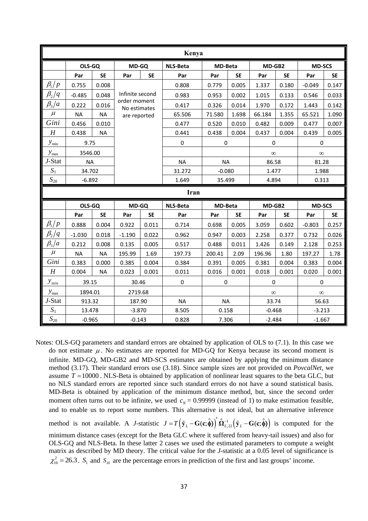| Kenya               |           |                    |                              |           |                 |                |           |             |           |               |           |  |
|---------------------|-----------|--------------------|------------------------------|-----------|-----------------|----------------|-----------|-------------|-----------|---------------|-----------|--|
|                     | OLS-GQ    |                    | <b>MD-GQ</b>                 |           | <b>NLS-Beta</b> | <b>MD-Beta</b> |           | MD-GB2      |           | <b>MD-SCS</b> |           |  |
|                     | Par       | <b>SE</b>          | Par                          | <b>SE</b> | Par             | Par            | <b>SE</b> | Par         | <b>SE</b> | Par           | <b>SE</b> |  |
| $\beta_1/p$         | 0.755     | 0.008              |                              |           | 0.808           | 0.779          | 0.005     | 1.337       | 0.180     | $-0.049$      | 0.147     |  |
| $\beta_2/q$         | $-0.485$  | 0.048              | Infinite second              |           | 0.983           | 0.953          | 0.002     | 1.015       | 0.133     | 0.546         | 0.033     |  |
| $\beta_3/a$         | 0.222     | 0.016              | order moment<br>No estimates |           | 0.417           | 0.326          | 0.014     | 1.970       | 0.172     | 1.443         | 0.142     |  |
| $\mu$               | <b>NA</b> | <b>NA</b>          | are reported                 |           | 65.506          | 71.580         | 1.698     | 66.184      | 1.355     | 65.521        | 1.090     |  |
| Gini                | 0.456     | 0.010              |                              |           | 0.477           | 0.520          | 0.010     | 0.482       | 0.009     | 0.477         | 0.007     |  |
| H                   | 0.438     | <b>NA</b>          |                              |           | 0.441           | 0.438          | 0.004     | 0.437       | 0.004     | 0.439         | 0.005     |  |
| $y_{\text{min}}$    | 9.75      |                    |                              |           | $\pmb{0}$       | $\pmb{0}$      |           | $\mathbf 0$ |           | $\mathbf 0$   |           |  |
| $y_{\rm max}$       | 3546.00   |                    |                              |           |                 |                |           | $\infty$    |           | $\infty$      |           |  |
| J-Stat              | <b>NA</b> |                    |                              |           | <b>NA</b>       | <b>NA</b>      |           | 86.58       |           | 81.28         |           |  |
| $S_1$               | 34.702    |                    |                              |           | 31.272          | $-0.080$       |           | 1.477       |           | 1.988         |           |  |
| $\sqrt{S_{20}}$     | $-6.892$  |                    |                              |           | 1.649           | 35.499         |           | 4.894       |           | 0.313         |           |  |
| Iran                |           |                    |                              |           |                 |                |           |             |           |               |           |  |
|                     | OLS-GQ    |                    | MD-GQ                        |           | <b>NLS-Beta</b> | <b>MD-Beta</b> |           | MD-GB2      |           | <b>MD-SCS</b> |           |  |
|                     | Par       | <b>SE</b>          | Par                          | <b>SE</b> | Par             | Par            | <b>SE</b> | Par         | <b>SE</b> | Par           | <b>SE</b> |  |
| $\beta_{\rm l}/\,p$ | 0.888     | 0.004              | 0.922                        | 0.011     | 0.714           | 0.698          | 0.005     | 3.059       | 0.602     | $-0.803$      | 0.257     |  |
| $\beta_2/q$         | $-1.030$  | 0.018              | $-1.190$                     | 0.022     | 0.962           | 0.947          | 0.003     | 2.258       | 0.377     | 0.732         | 0.026     |  |
| $\beta_3/a$         | 0.212     | 0.008              | 0.135                        | 0.005     | 0.517           | 0.488          | 0.011     | 1.426       | 0.149     | 2.128         | 0.253     |  |
| $\mu$               | <b>NA</b> | <b>NA</b>          | 195.99                       | 1.69      | 197.73          | 200.41         | 2.09      | 196.96      | 1.80      | 197.27        | 1.78      |  |
| Gini                | 0.383     | 0.000              | 0.385                        | 0.004     | 0.384           | 0.391          | 0.005     | 0.381       | 0.004     | 0.383         | 0.004     |  |
| H                   | 0.004     | <b>NA</b><br>0.023 |                              | 0.001     | 0.011           | 0.016          | 0.001     | 0.018       | 0.001     | 0.020         | 0.001     |  |
| $y_{\min}$          | 39.15     |                    | 30.46                        |           | $\pmb{0}$       | $\mathbf 0$    |           | $\mathbf 0$ |           | $\mathbf 0$   |           |  |
| $y_{\text{max}}$    | 1894.01   |                    | 2719.68                      |           |                 |                |           | $\infty$    |           | $\infty$      |           |  |
|                     |           |                    |                              |           |                 |                |           |             |           | 56.63         |           |  |
| J-Stat              | 913.32    |                    | 187.90                       |           | <b>NA</b>       | <b>NA</b>      |           | 33.74       |           |               |           |  |
| $S_1$               | 13.478    |                    | $-3.870$                     |           | 8.505           | 0.158          |           | $-0.468$    |           | $-3.213$      |           |  |

Notes: OLS-GQ parameters and standard errors are obtained by application of OLS to (7.1). In this case we do not estimate  $\mu$ . No estimates are reported for MD-GQ for Kenya because its second moment is infinite. MD-GQ, MD-GB2 and MD-SCS estimates are obtained by applying the minimum distance method (3.17). Their standard errors use (3.18). Since sample sizes are not provided on *PovcalNet*, we assume  $T = 10000$ . NLS-Beta is obtained by application of nonlinear least squares to the beta GLC, but no NLS standard errors are reported since such standard errors do not have a sound statistical basis. MD-Beta is obtained by application of the minimum distance method, but, since the second order moment often turns out to be infinite, we used  $c<sub>N</sub> = 0.99999$  (instead of 1) to make estimation feasible, and to enable us to report some numbers. This alternative is not ideal, but an alternative inference method is not available. A *J*-statistic  $J = T(\tilde{y}_L - G(c, \hat{\phi}))' \hat{\Omega}_{L,22}^{-1} (\tilde{y}_L - G(c, \hat{\phi}))$  is computed for the

minimum distance cases (except for the Beta GLC where it suffered from heavy-tail issues) and also for OLS-GQ and NLS-Beta. In these latter 2 cases we used the estimated parameters to compute a weight matrix as described by MD theory. The critical value for the *J*-statistic at a 0.05 level of significance is 2  $\chi_{16}^2$  = 26.3. S<sub>1</sub> and S<sub>20</sub> are the percentage errors in prediction of the first and last groups' income.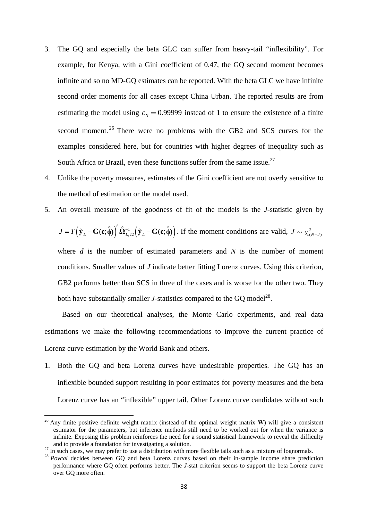- 3. The GQ and especially the beta GLC can suffer from heavy-tail "inflexibility". For example, for Kenya, with a Gini coefficient of 0.47, the GQ second moment becomes infinite and so no MD-GQ estimates can be reported. With the beta GLC we have infinite second order moments for all cases except China Urban. The reported results are from estimating the model using  $c_N = 0.99999$  instead of 1 to ensure the existence of a finite second moment.<sup>26</sup> There were no problems with the GB2 and SCS curves for the examples considered here, but for countries with higher degrees of inequality such as South Africa or Brazil, even these functions suffer from the same issue.<sup>27</sup>
- 4. Unlike the poverty measures, estimates of the Gini coefficient are not overly sensitive to the method of estimation or the model used.
- 5. An overall measure of the goodness of fit of the models is the *J*-statistic given by

$$
J = T(\tilde{\mathbf{y}}_L - \mathbf{G}(\mathbf{c}; \hat{\boldsymbol{\phi}}))' \hat{\mathbf{\Omega}}_{L,22}^{-1} (\tilde{\mathbf{y}}_L - \mathbf{G}(\mathbf{c}; \hat{\boldsymbol{\phi}})).
$$
 If the moment conditions are valid,  $J \sim \chi^2_{(N-d)}$ 

where *d* is the number of estimated parameters and *N* is the number of moment conditions. Smaller values of *J* indicate better fitting Lorenz curves. Using this criterion, GB2 performs better than SCS in three of the cases and is worse for the other two. They both have substantially smaller *J*-statistics compared to the GO model<sup>28</sup>.

Based on our theoretical analyses, the Monte Carlo experiments, and real data estimations we make the following recommendations to improve the current practice of Lorenz curve estimation by the World Bank and others.

1. Both the GQ and beta Lorenz curves have undesirable properties. The GQ has an inflexible bounded support resulting in poor estimates for poverty measures and the beta Lorenz curve has an "inflexible" upper tail. Other Lorenz curve candidates without such

<sup>26</sup> Any finite positive definite weight matrix (instead of the optimal weight matrix **W)** will give a consistent estimator for the parameters, but inference methods still need to be worked out for when the variance is infinite. Exposing this problem reinforces the need for a sound statistical framework to reveal the difficulty and to provide a foundation for investigating a solution.

 $27$  In such cases, we may prefer to use a distribution with more flexible tails such as a mixture of lognormals.

<sup>&</sup>lt;sup>28</sup> *Povcal* decides between GQ and beta Lorenz curves based on their in-sample income share prediction performance where GQ often performs better. The *J*-stat criterion seems to support the beta Lorenz curve over GQ more often.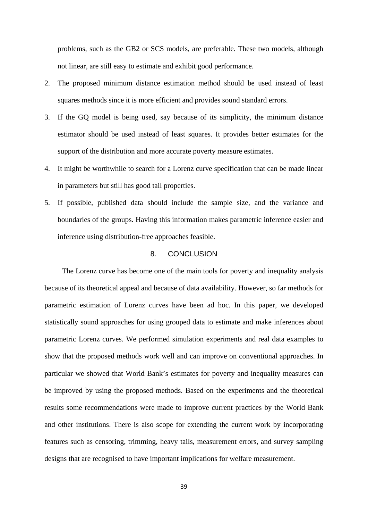problems, such as the GB2 or SCS models, are preferable. These two models, although not linear, are still easy to estimate and exhibit good performance.

- 2. The proposed minimum distance estimation method should be used instead of least squares methods since it is more efficient and provides sound standard errors.
- 3. If the GQ model is being used, say because of its simplicity, the minimum distance estimator should be used instead of least squares. It provides better estimates for the support of the distribution and more accurate poverty measure estimates.
- 4. It might be worthwhile to search for a Lorenz curve specification that can be made linear in parameters but still has good tail properties.
- 5. If possible, published data should include the sample size, and the variance and boundaries of the groups. Having this information makes parametric inference easier and inference using distribution-free approaches feasible.

# 8. CONCLUSION

The Lorenz curve has become one of the main tools for poverty and inequality analysis because of its theoretical appeal and because of data availability. However, so far methods for parametric estimation of Lorenz curves have been ad hoc. In this paper, we developed statistically sound approaches for using grouped data to estimate and make inferences about parametric Lorenz curves. We performed simulation experiments and real data examples to show that the proposed methods work well and can improve on conventional approaches. In particular we showed that World Bank's estimates for poverty and inequality measures can be improved by using the proposed methods. Based on the experiments and the theoretical results some recommendations were made to improve current practices by the World Bank and other institutions. There is also scope for extending the current work by incorporating features such as censoring, trimming, heavy tails, measurement errors, and survey sampling designs that are recognised to have important implications for welfare measurement.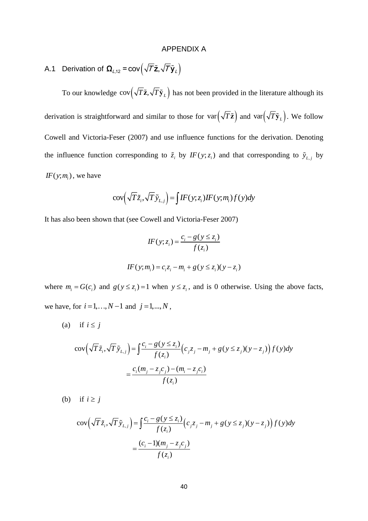#### APPENDIX A

A.1 Derivation of  $\mathbf{\Omega}_{L,12} = \mathsf{cov}\left(\sqrt{\mathbf{\Gamma}}\tilde{\mathbf{z}}, \sqrt{\mathbf{\Gamma}}\tilde{\mathbf{y}}_L\right).$ 

To our knowledge  $cov(\sqrt{T}\tilde{z}, \sqrt{T}\tilde{y}_L)$  has not been provided in the literature although its derivation is straightforward and similar to those for  $var(\sqrt{T}\tilde{\mathbf{z}})$  and  $var(\sqrt{T}\tilde{\mathbf{y}}_L)$ . We follow Cowell and Victoria-Feser (2007) and use influence functions for the derivation. Denoting the influence function corresponding to  $\tilde{z}_i$  by  $IF(y; z_i)$  and that corresponding to  $\tilde{y}_{L, j}$  by  $IF(y; m<sub>i</sub>)$ , we have

$$
cov(\sqrt{T}\tilde{z}_i, \sqrt{T}\tilde{y}_{L,j}) = \int I F(y; z_i) I F(y; m_i) f(y) dy
$$

It has also been shown that (see Cowell and Victoria-Feser 2007)

$$
IF(y; zi) = \frac{c_i - g(y \le z_i)}{f(z_i)}
$$
  

$$
IF(y; m_i) = c_i z_i - m_i + g(y \le z_i)(y - z_i)
$$

where  $m_i = G(c_i)$  and  $g(y \le z_i) = 1$  when  $y \le z_i$ , and is 0 otherwise. Using the above facts, we have, for  $i = 1, ..., N - 1$  and  $j = 1, ..., N$ ,

(a) if 
$$
i \leq j
$$

$$
\text{cov}\left(\sqrt{T}\tilde{z}_i, \sqrt{T}\tilde{y}_{L,j}\right) = \int \frac{c_i - g(y \le z_i)}{f(z_i)} \Big(c_j z_j - m_j + g(y \le z_j)(y - z_j)\Big) f(y) dy
$$

$$
= \frac{c_i (m_j - z_j c_j) - (m_i - z_j c_i)}{f(z_i)}
$$

(b) if  $i \geq j$ 

$$
\text{cov}\left(\sqrt{T}\tilde{z}_i, \sqrt{T}\tilde{y}_{L,j}\right) = \int \frac{c_i - g(y \le z_i)}{f(z_i)} \Big(c_j z_j - m_j + g(y \le z_j)(y - z_j)\Big) f(y) dy
$$

$$
= \frac{(c_i - 1)(m_j - z_j c_j)}{f(z_i)}
$$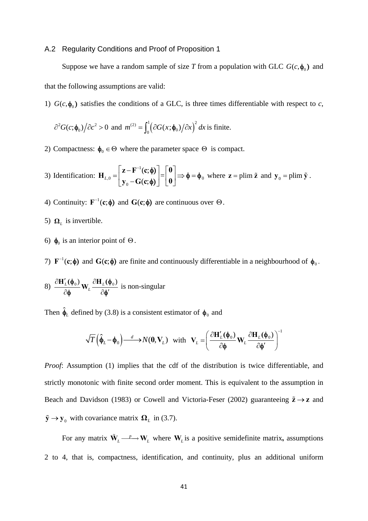#### A.2 Regularity Conditions and Proof of Proposition 1

Suppose we have a random sample of size *T* from a population with GLC  $G(c, \phi_0)$  and that the following assumptions are valid:

1)  $G(c, \phi_0)$  satisfies the conditions of a GLC, is three times differentiable with respect to *c*,

$$
\frac{\partial^2 G(c; \phi_0)}{\partial c^2} > 0
$$
 and  $m^{(2)} = \int_0^1 (\frac{\partial G(x; \phi_0)}{\partial x})^2 dx$  is finite.

2) Compactness:  $\phi_0 \in \Theta$  where the parameter space  $\Theta$  is compact.

3) Identification: 
$$
\mathbf{H}_{L,0} = \begin{bmatrix} \mathbf{z} - \mathbf{F}^{-1}(\mathbf{c}; \phi) \\ \mathbf{y}_0 - \mathbf{G}(\mathbf{c}; \phi) \end{bmatrix} = \begin{bmatrix} \mathbf{0} \\ \mathbf{0} \end{bmatrix} \Rightarrow \phi = \phi_0
$$
 where  $\mathbf{z} = \text{plim } \tilde{\mathbf{z}}$  and  $\mathbf{y}_0 = \text{plim } \tilde{\mathbf{y}}$ .

- 4) Continuity:  $F^{-1}(c; \phi)$  and  $G(c; \phi)$  are continuous over  $\Theta$ .
- 5)  $\Omega_L$  is invertible.
- 6)  $\phi_0$  is an interior point of  $\Theta$ .

7)  $\mathbf{F}^{-1}(\mathbf{c}; \phi)$  and  $\mathbf{G}(\mathbf{c}; \phi)$  are finite and continuously differentiable in a neighbourhood of  $\phi_0$ .

8)  $\frac{\partial \mathbf{H}'_L(\boldsymbol{\phi}_0)}{\partial \mathbf{L}} \mathbf{W}_L \frac{\partial \mathbf{H}_L(\boldsymbol{\phi}_0)}{\partial \mathbf{L'}}$  $\partial H'_L(\phi_0)$   $\partial$  $\partial \phi$   $U^L$   $\partial \phi'$  $\frac{\mathbf{H}_{L}(\phi_0)}{\mathbf{H}_{L}(\phi)} \mathbf{W}_{L} \frac{\partial \mathbf{H}_{L}(\phi)}{\partial \mathbf{H}_{L}(\phi)}$  $\frac{\partial \Psi_0}{\partial \phi'}$   $W_L \frac{\partial \mathbf{H}_L(\Psi_0)}{\partial \phi'}$  is non-singular

Then  $\hat{\phi}_L$  defined by (3.8) is a consistent estimator of  $\phi_0$  and

$$
\sqrt{T}\left(\hat{\phi}_L - \phi_0\right) \xrightarrow{d} N(\mathbf{0}, \mathbf{V}_L) \quad \text{with} \quad \mathbf{V}_L = \left(\frac{\partial \mathbf{H}'_L(\phi_0)}{\partial \phi} \mathbf{W}_L \frac{\partial \mathbf{H}_L(\phi_0)}{\partial \phi'}\right)^{-1}
$$

*Proof*: Assumption (1) implies that the cdf of the distribution is twice differentiable, and strictly monotonic with finite second order moment. This is equivalent to the assumption in Beach and Davidson (1983) or Cowell and Victoria-Feser (2002) guaranteeing  $\tilde{z} \rightarrow z$  and  $\tilde{\mathbf{y}} \to \mathbf{y}_0$  with covariance matrix  $\mathbf{\Omega}_L$  in (3.7).

For any matrix  $\tilde{\mathbf{W}}_L \longrightarrow \mathbf{W}_L$  where  $\mathbf{W}_L$  is a positive semidefinite matrix, assumptions 2 to 4, that is, compactness, identification, and continuity, plus an additional uniform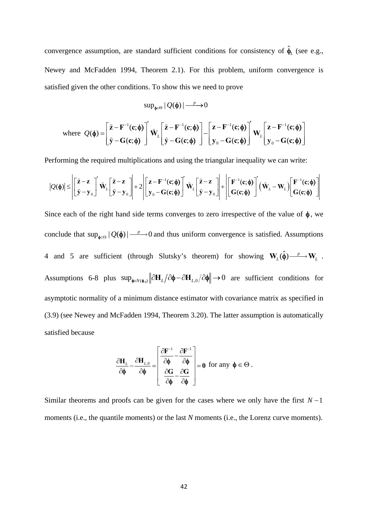convergence assumption, are standard sufficient conditions for consistency of  $\hat{\phi}_L$  (see e.g., Newey and McFadden 1994, Theorem 2.1). For this problem, uniform convergence is satisfied given the other conditions. To show this we need to prove

$$
\sup\nolimits_{\phi\in\Theta} |Q(\phi)| \longrightarrow 0
$$

where 
$$
Q(\phi) = \begin{bmatrix} \tilde{z} - F^{-1}(c; \phi) \\ \tilde{y} - G(c; \phi) \end{bmatrix}' \tilde{W}_L \begin{bmatrix} \tilde{z} - F^{-1}(c; \phi) \\ \tilde{y} - G(c; \phi) \end{bmatrix} - \begin{bmatrix} z - F^{-1}(c; \phi) \\ y_0 - G(c; \phi) \end{bmatrix}' W_L \begin{bmatrix} z - F^{-1}(c; \phi) \\ y_0 - G(c; \phi) \end{bmatrix}
$$

Performing the required multiplications and using the triangular inequality we can write:

$$
|Q(\phi)| \leq \left| \left[ \frac{\tilde{\mathbf{z}} - \mathbf{z}}{\tilde{\mathbf{y}} - \mathbf{y}_0} \right]^2 \tilde{\mathbf{W}}_L \left[ \frac{\tilde{\mathbf{z}} - \mathbf{z}}{\tilde{\mathbf{y}} - \mathbf{y}_0} \right] \right| + 2 \left| \left[ \frac{\mathbf{z} - \mathbf{F}^{-1}(\mathbf{c}; \phi)}{\mathbf{y}_0 - \mathbf{G}(\mathbf{c}; \phi)} \right]^2 \tilde{\mathbf{W}}_L \left[ \frac{\tilde{\mathbf{z}} - \mathbf{z}}{\tilde{\mathbf{y}} - \mathbf{y}_0} \right] \right| + \left| \left[ \frac{\mathbf{F}^{-1}(\mathbf{c}; \phi)}{\mathbf{G}(\mathbf{c}; \phi)} \right]^2 (\tilde{\mathbf{W}}_L - \mathbf{W}_L) \left[ \frac{\mathbf{F}^{-1}(\mathbf{c}; \phi)}{\mathbf{G}(\mathbf{c}; \phi)} \right] \right|
$$

Since each of the right hand side terms converges to zero irrespective of the value of  $\phi$ , we conclude that  $\sup_{\phi \in \Theta} |Q(\phi)| \longrightarrow 0$  and thus uniform convergence is satisfied. Assumptions 4 and 5 are sufficient (through Slutsky's theorem) for showing  $W_L(\hat{\phi}) \longrightarrow W_L$ . Assumptions 6-8 plus  $\sup_{\phi \in N(\phi_0)} \|\partial H_L / \partial \phi - \partial H_{L,0} / \partial \phi\| \to 0$  are sufficient conditions for asymptotic normality of a minimum distance estimator with covariance matrix as specified in (3.9) (see Newey and McFadden 1994, Theorem 3.20). The latter assumption is automatically satisfied because

$$
\frac{\partial H_{\underline{\mathit{L}}}}{\partial \varphi} - \frac{\partial H_{\underline{\mathit{L}},0}}{\partial \varphi} = \left[ \begin{array}{c} \frac{\partial F^{-1}}{\partial \varphi} - \frac{\partial F^{-1}}{\partial \varphi} \\ \frac{\partial G}{\partial \varphi} - \frac{\partial G}{\partial \varphi} \end{array} \right] = 0 \text{ for any } \varphi \in \Theta.
$$

Similar theorems and proofs can be given for the cases where we only have the first  $N-1$ moments (i.e., the quantile moments) or the last *N* moments (i.e., the Lorenz curve moments).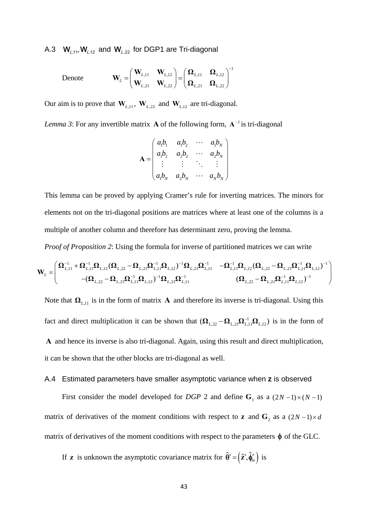A.3  $\mathbf{W}_{L,11}, \mathbf{W}_{L,12}$  and  $\mathbf{W}_{L,22}$  for DGP1 are Tri-diagonal

Denote 
$$
\mathbf{W}_{L} = \begin{pmatrix} \mathbf{W}_{L,11} & \mathbf{W}_{L,12} \\ \mathbf{W}_{L,21} & \mathbf{W}_{L,22} \end{pmatrix} = \begin{pmatrix} \mathbf{\Omega}_{L,11} & \mathbf{\Omega}_{L,12} \\ \mathbf{\Omega}_{L,21} & \mathbf{\Omega}_{L,22} \end{pmatrix}^{-1}
$$

Our aim is to prove that  $W_{L,11}$ ,  $W_{L,22}$  and  $W_{L,12}$  are tri-diagonal.

*Lemma 3*: For any invertible matrix **A** of the following form,  $A^{-1}$  is tri-diagonal

$$
\mathbf{A} = \begin{pmatrix} a_1b_1 & a_1b_2 & \cdots & a_ib_N \\ a_1b_2 & a_2b_2 & \cdots & a_2b_N \\ \vdots & \vdots & \ddots & \vdots \\ a_1b_N & a_2b_N & \cdots & a_nb_N \end{pmatrix}
$$

This lemma can be proved by applying Cramer's rule for inverting matrices. The minors for elements not on the tri-diagonal positions are matrices where at least one of the columns is a multiple of another column and therefore has determinant zero, proving the lemma.

*Proof of Proposition 2*: Using the formula for inverse of partitioned matrices we can write

$$
\mathbf{W}_{L} = \begin{pmatrix} \mathbf{\Omega}_{L,11}^{-1} + \mathbf{\Omega}_{L,11}^{-1} \mathbf{\Omega}_{L,12} (\mathbf{\Omega}_{L,22} - \mathbf{\Omega}_{L,21} \mathbf{\Omega}_{L,11}^{-1} \mathbf{\Omega}_{L,12})^{-1} \mathbf{\Omega}_{L,21} \mathbf{\Omega}_{L,11}^{-1} & -\mathbf{\Omega}_{L,11}^{-1} \mathbf{\Omega}_{L,12} (\mathbf{\Omega}_{L,22} - \mathbf{\Omega}_{L,21} \mathbf{\Omega}_{L,11}^{-1} \mathbf{\Omega}_{L,12})^{-1} \\ -(\mathbf{\Omega}_{L,22} - \mathbf{\Omega}_{L,21} \mathbf{\Omega}_{L,11}^{-1} \mathbf{\Omega}_{L,12})^{-1} \mathbf{\Omega}_{L,21} \mathbf{\Omega}_{L,11}^{-1} & (\mathbf{\Omega}_{L,22} - \mathbf{\Omega}_{L,21} \mathbf{\Omega}_{L,11}^{-1} \mathbf{\Omega}_{L,12})^{-1} \end{pmatrix}
$$

Note that  $\Omega_{L,11}$  is in the form of matrix **A** and therefore its inverse is tri-diagonal. Using this fact and direct multiplication it can be shown that  $(\mathbf{\Omega}_{L,22} - \mathbf{\Omega}_{L,21} \mathbf{\Omega}_{L,11}^{-1} \mathbf{\Omega}_{L,12})$  is in the form of **A** and hence its inverse is also tri-diagonal. Again, using this result and direct multiplication, it can be shown that the other blocks are tri-diagonal as well.

#### A.4 Estimated parameters have smaller asymptotic variance when **z** is observed

First consider the model developed for *DGP* 2 and define  $G_1$  as a  $(2N-1)\times(N-1)$ matrix of derivatives of the moment conditions with respect to **z** and  $\mathbf{G}_2$  as a  $(2N-1)\times d$ matrix of derivatives of the moment conditions with respect to the parameters  $\phi$  of the GLC.

If **z** is unknown the asymptotic covariance matrix for  $\hat{\theta}' = (\hat{\mathbf{z}}', \hat{\phi}'_m)$  is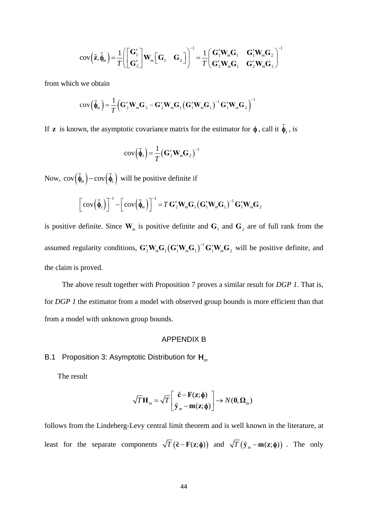$$
cov\left(\hat{\mathbf{z}}, \hat{\boldsymbol{\phi}}_m\right) = \frac{1}{T} \left( \begin{bmatrix} \mathbf{G}'_1 \\ \mathbf{G}'_2 \end{bmatrix} \mathbf{W}_m \begin{bmatrix} \mathbf{G}_1 & \mathbf{G}_2 \end{bmatrix} \right)^{-1} = \frac{1}{T} \begin{bmatrix} \mathbf{G}'_1 \mathbf{W}_m \mathbf{G}_1 & \mathbf{G}'_1 \mathbf{W}_m \mathbf{G}_2 \\ \mathbf{G}'_2 \mathbf{W}_m \mathbf{G}_1 & \mathbf{G}'_2 \mathbf{W}_m \mathbf{G}_2 \end{bmatrix}^{-1}
$$

from which we obtain

$$
cov(\hat{\boldsymbol{\phi}}_m) = \frac{1}{T} (\mathbf{G}'_2 \mathbf{W}_m \mathbf{G}_2 - \mathbf{G}'_2 \mathbf{W}_m \mathbf{G}_1 (\mathbf{G}'_1 \mathbf{W}_m \mathbf{G}_1)^{-1} \mathbf{G}'_1 \mathbf{W}_m \mathbf{G}_2)^{-1}
$$

If **z** is known, the asymptotic covariance matrix for the estimator for  $\phi$ , call it  $\hat{\phi}_z$ , is

$$
cov(\hat{\boldsymbol{\phi}}_z) = \frac{1}{T} (\mathbf{G}'_2 \mathbf{W}_m \mathbf{G}_2)^{-1}
$$

Now,  $cov(\hat{\phi}_m) - cov(\hat{\phi}_z)$  will be positive definite if

$$
\left[\text{cov}\left(\hat{\boldsymbol{\phi}}_{z}\right)\right]^{-1} - \left[\text{cov}\left(\hat{\boldsymbol{\phi}}_{m}\right)\right]^{-1} = T\,\mathbf{G}'_{2}\mathbf{W}_{m}\mathbf{G}_{1}\left(\mathbf{G}'_{1}\mathbf{W}_{m}\mathbf{G}_{1}\right)^{-1}\mathbf{G}'_{1}\mathbf{W}_{m}\mathbf{G}_{2}
$$

is positive definite. Since  $W_m$  is positive definite and  $G_1$  and  $G_2$  are of full rank from the assumed regularity conditions,  $G_2'W_mG_1(G_1'W_mG_1)^{-1}G_1'W_mG_2$  $\mathbf{G}'_2\mathbf{W}_{m}\mathbf{G}_1(\mathbf{G}'_1\mathbf{W}_{m}\mathbf{G}_1)^{-1}\mathbf{G}'_1\mathbf{W}_{m}\mathbf{G}_2$  will be positive definite, and the claim is proved.

 The above result together with Proposition 7 proves a similar result for *DGP 1*. That is, for *DGP 1* the estimator from a model with observed group bounds is more efficient than that from a model with unknown group bounds.

# APPENDIX B

B.1 Proposition 3: Asymptotic Distribution for  $H_m$ 

The result

$$
\sqrt{T}\mathbf{H}_m = \sqrt{T}\begin{bmatrix} \tilde{\mathbf{c}} - \mathbf{F}(\mathbf{z}; \boldsymbol{\phi}) \\ \tilde{\mathbf{y}}_m - \mathbf{m}(\mathbf{z}; \boldsymbol{\phi}) \end{bmatrix} \rightarrow N(\mathbf{0}, \boldsymbol{\Omega}_m)
$$

follows from the Lindeberg-Levy central limit theorem and is well known in the literature, at least for the separate components  $\sqrt{T} (\tilde{\mathbf{c}} - \mathbf{F}(\mathbf{z}; \phi))$  and  $\sqrt{T} (\tilde{\mathbf{y}}_m - \mathbf{m}(\mathbf{z}; \phi))$ . The only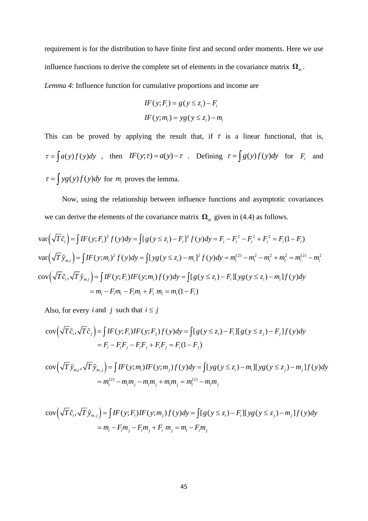requirement is for the distribution to have finite first and second order moments. Here we use influence functions to derive the complete set of elements in the covariance matrix  $\Omega_m$ . *Lemma 4*: Influence function for cumulative proportions and income are

$$
IF(y; Fi) = g(y \le zi) - Fi
$$
  

$$
IF(y; mi) = yg(y \le zi) - mi
$$

This can be proved by applying the result that, if  $\tau$  is a linear functional, that is,  $\tau = \int a(y)f(y)dy$ , then  $IF(y;\tau) = a(y) - \tau$ . Defining  $\tau = \int g(y)f(y)dy$  for  $F_i$  and  $\tau = \int yg(y)f(y)dy$  for  $m_i$  proves the lemma.

 Now, using the relationship between influence functions and asymptotic covariances we can derive the elements of the covariance matrix  $\Omega_m$  given in (4.4) as follows.

$$
\operatorname{var}\left(\sqrt{T}\tilde{c}_{i}\right) = \int I F(y; F_{i})^{2} f(y) dy = \int [g(y \le z_{i}) - F_{i}]^{2} f(y) dy = F_{i} - F_{i}^{2} - F_{i}^{2} + F_{i}^{2} = F_{i}(1 - F_{i})
$$
  
\n
$$
\operatorname{var}\left(\sqrt{T}\tilde{y}_{m,i}\right) = \int I F(y; m_{i})^{2} f(y) dy = \int [yg(y \le z_{i}) - m_{i}]^{2} f(y) dy = m_{i}^{(2)} - m_{i}^{2} - m_{i}^{2} + m_{i}^{2} = m_{i}^{(2)} - m_{i}^{2}
$$
  
\n
$$
\operatorname{cov}\left(\sqrt{T}\tilde{c}_{i}, \sqrt{T}\tilde{y}_{m,i}\right) = \int I F(y; F_{i}) I F(y; m_{i}) f(y) dy = \int [g(y \le z_{i}) - F_{i}] [yg(y \le z_{i}) - m_{i}] f(y) dy
$$
  
\n
$$
= m_{i} - F_{i} m_{i} - F_{i} m_{i} + F_{i} m_{i} = m_{i} (1 - F_{i})
$$

Also, for every *i* and *j* such that  $i \leq j$ 

$$
cov(\sqrt{T}\tilde{c}_i, \sqrt{T}\tilde{c}_j) = \int IF(y; F_i)IF(y; F_j)f(y)dy = \int [g(y \le z_i) - F_i][g(y \le z_j) - F_j]f(y)dy
$$
  
=  $F_i - F_iF_j - F_iF_j + F_iF_j = F_i(1 - F_j)$ 

$$
cov(\sqrt{T}\tilde{y}_{m,i}, \sqrt{T}\tilde{y}_{m,j}) = \int IF(y; m_i)IF(y; m_j)f(y)dy = \int [yg(y \le z_i) - m_i][yg(y \le z_j) - m_j]f(y)dy
$$
  
=  $m_i^{(2)} - m_i m_j - m_i m_j + m_i m_j = m_i^{(2)} - m_i m_j$ 

$$
cov(\sqrt{T}\tilde{c}_i, \sqrt{T}\tilde{y}_{m,j}) = \int IF(y; F_i)IF(y; m_j)f(y)dy = \int [g(y \le z_i) - F_i][yg(y \le z_j) - m_j]f(y)dy
$$
  
=  $m_i - F_i m_j - F_i m_j + F_i m_j = m_i - F_i m_j$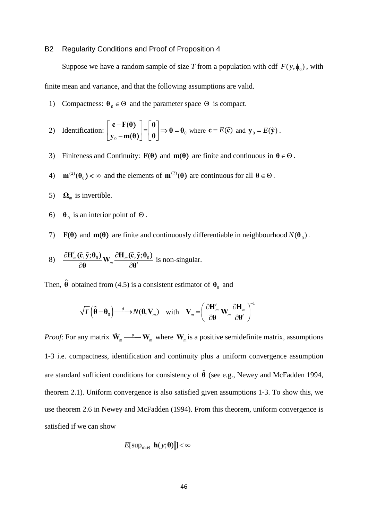### B2 Regularity Conditions and Proof of Proposition 4

Suppose we have a random sample of size *T* from a population with cdf  $F(y, \phi_0)$ , with finite mean and variance, and that the following assumptions are valid.

1) Compactness:  $\theta_0 \in \Theta$  and the parameter space  $\Theta$  is compact.

2) Identification: 
$$
\begin{bmatrix} \mathbf{c} - \mathbf{F}(\mathbf{\theta}) \\ \mathbf{y}_0 - \mathbf{m}(\mathbf{\theta}) \end{bmatrix} = \begin{bmatrix} \mathbf{0} \\ \mathbf{0} \end{bmatrix} \Rightarrow \mathbf{\theta} = \mathbf{\theta}_0
$$
 where  $\mathbf{c} = E(\tilde{\mathbf{c}})$  and  $\mathbf{y}_0 = E(\tilde{\mathbf{y}})$ .

- 3) Finiteness and Continuity:  $F(\theta)$  and  $m(\theta)$  are finite and continuous in  $\theta \in \Theta$ .
- 4)  $\mathbf{m}^{(2)}(\mathbf{\theta}_0) < \infty$  and the elements of  $\mathbf{m}^{(2)}(\mathbf{\theta})$  are continuous for all  $\mathbf{\theta} \in \Theta$ .
- 5)  $\Omega_m$  is invertible.
- 6)  $\theta_0$  is an interior point of  $\Theta$ .

7) **F(** $\theta$ **)** and **m**( $\theta$ ) are finite and continuously differentiable in neighbourhood  $N(\theta_0)$ .

8) 
$$
\frac{\partial \mathbf{H}'_m(\tilde{\mathbf{c}}, \tilde{\mathbf{y}}; \boldsymbol{\theta}_0)}{\partial \boldsymbol{\theta}} \mathbf{W}_m \frac{\partial \mathbf{H}_m(\tilde{\mathbf{c}}, \tilde{\mathbf{y}}; \boldsymbol{\theta}_0)}{\partial \boldsymbol{\theta}'} \text{ is non-singular.}
$$

Then,  $\hat{\theta}$  obtained from (4.5) is a consistent estimator of  $\theta_0$  and

$$
\sqrt{T}\left(\hat{\boldsymbol{\theta}}-\boldsymbol{\theta}_0\right)\longrightarrow N(\boldsymbol{0},\mathbf{V}_m) \text{ with } \mathbf{V}_m = \left(\frac{\partial \mathbf{H}'_m}{\partial \boldsymbol{\theta}}\mathbf{W}_m \frac{\partial \mathbf{H}_m}{\partial \boldsymbol{\theta}'}\right)^{-1}
$$

*Proof*: For any matrix  $\tilde{\mathbf{W}}_m \longrightarrow \mathbf{W}_m$  where  $\mathbf{W}_m$  is a positive semidefinite matrix, assumptions 1-3 i.e. compactness, identification and continuity plus a uniform convergence assumption are standard sufficient conditions for consistency of  $\hat{\theta}$  (see e.g., Newey and McFadden 1994, theorem 2.1). Uniform convergence is also satisfied given assumptions 1-3. To show this, we use theorem 2.6 in Newey and McFadden (1994). From this theorem, uniform convergence is satisfied if we can show

$$
E[\sup_{\theta \in \Theta} \|\mathbf{h}(y;\theta)\|] < \infty
$$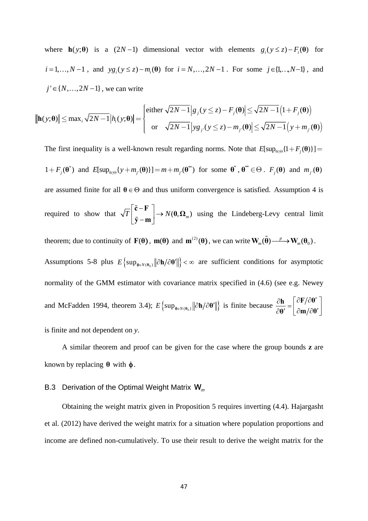where **h**(y; $\theta$ **)** is a (2N-1) dimensional vector with elements  $g_i(y \le z) - F_i(\theta)$  for  $i = 1,..., N-1$ , and  $yg_i(y \le z) - m_i(0)$  for  $i = N,..., 2N-1$ . For some  $j \in \{1,..., N-1\}$ , and  $j' \in \{N, ..., 2N-1\}$ , we can write

$$
\|\mathbf{h}(y;\boldsymbol{\theta})\| \le \max_{i} \sqrt{2N-1} |h_i(y;\boldsymbol{\theta})| = \begin{cases} \text{either } \sqrt{2N-1} |g_j(y \le z) - F_j(\boldsymbol{\theta})| \le \sqrt{2N-1} (1 + F_j(\boldsymbol{\theta})) \\ \text{or } \sqrt{2N-1} |yg_j(y \le z) - m_j(\boldsymbol{\theta})| \le \sqrt{2N-1} (y + m_j(\boldsymbol{\theta})) \end{cases}
$$

The first inequality is a well-known result regarding norms. Note that  $E[\sup_{\theta \in \Theta} \{1 + F_j(\theta)\}] =$  $1 + F_j(\mathbf{\theta}^*)$  and  $E[\sup_{\theta \in \Theta} \{ y + m_j(\mathbf{\theta}) \}] = m + m_j(\mathbf{\theta}^*)$  for some  $\mathbf{\theta}^*, \mathbf{\theta}^* \in \Theta$ .  $F_j(\mathbf{\theta})$  and  $m_j(\mathbf{\theta})$ are assumed finite for all  $\theta \in \Theta$  and thus uniform convergence is satisfied. Assumption 4 is required to show that  $\sqrt{T} \begin{bmatrix} 1 \end{bmatrix} \approx \begin{bmatrix} 1 \end{bmatrix} \rightarrow N(\mathbf{0}, \mathbf{\Omega}_m)$  $\lceil \mathbf{\tilde{c}} - \mathbf{F} \rceil$  $\begin{vmatrix} 1 \\ \tilde{y} & m \end{vmatrix}$   $\rightarrow$  $\lfloor \tilde{\mathbf{y}} - \mathbf{m} \rfloor$  $\tilde{\mathbf{c}} - \mathbf{F}$  $\mathbf{0}, \mathbf{\Omega}$ **y m** ĉ  $\mathbf{v} = \mathbf{w}$   $\rightarrow N(\mathbf{0}, \mathbf{\Omega}_m)$  using the Lindeberg-Levy central limit theorem; due to continuity of **F**( $\theta$ ), **m**( $\theta$ ) and **m**<sup>(2)</sup>( $\theta$ ), we can write  $\mathbf{W}_m(\tilde{\theta}) \longrightarrow \mathbf{W}_m(\theta_0)$ . Assumptions 5-8 plus  $E\left\{\sup_{\theta \in N(\theta_0)} \|\partial h / \partial \theta'\| \right\} < \infty$  are sufficient conditions for asymptotic normality of the GMM estimator with covariance matrix specified in (4.6) (see e.g. Newey and McFadden 1994, theorem 3.4);  $E\left\{\sup_{\theta \in N(\theta_0)} \|\partial \mathbf{h}/\partial \theta'\| \right\}$  is finite because  $\frac{\partial \mathbf{h}}{\partial \theta'} = \begin{bmatrix} \frac{\partial \mathbf{F}}{\partial \theta'} \\ \frac{\partial \mathbf{m}}{\partial \theta'} \end{bmatrix}$ **θ'**  $\int$   $\partial$ **m** $/$  $\partial$ **θ** is finite and not dependent on *y*.

 A similar theorem and proof can be given for the case where the group bounds **z** are known by replacing  $\theta$  with  $\phi$ .

# B.3 Derivation of the Optimal Weight Matrix  $W_m$

 Obtaining the weight matrix given in Proposition 5 requires inverting (4.4). Hajargasht et al. (2012) have derived the weight matrix for a situation where population proportions and income are defined non-cumulatively. To use their result to derive the weight matrix for the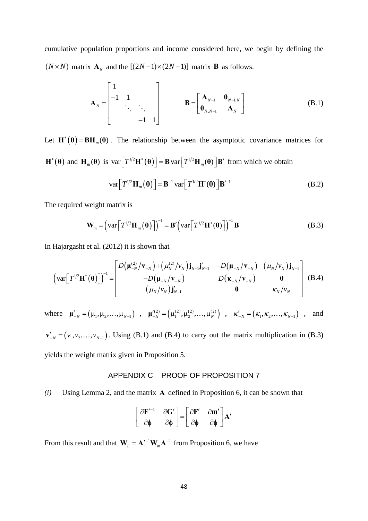cumulative population proportions and income considered here, we begin by defining the  $(N \times N)$  matrix  $\mathbf{A}_N$  and the  $[(2N-1)\times(2N-1)]$  matrix **B** as follows.

$$
\mathbf{A}_{N} = \begin{bmatrix} 1 & & & \\ -1 & 1 & & \\ & \ddots & \ddots & \\ & & -1 & 1 \end{bmatrix} \qquad \qquad \mathbf{B} = \begin{bmatrix} \mathbf{A}_{N-1} & \mathbf{0}_{N-1,N} \\ \mathbf{0}_{N,N-1} & \mathbf{A}_{N} \end{bmatrix}
$$
(B.1)

Let  $\mathbf{H}^*(\theta) = \mathbf{B}\mathbf{H}_m(\theta)$ . The relationship between the asymptotic covariance matrices for  $\mathbf{H}^*(\boldsymbol{\theta})$  and  $\mathbf{H}_m(\boldsymbol{\theta})$  is  $\text{var}\left[T^{1/2}\mathbf{H}^*(\boldsymbol{\theta})\right] = \mathbf{B} \text{var}\left[T^{1/2}\mathbf{H}_m(\boldsymbol{\theta})\right] \mathbf{B}'$  from which we obtain

$$
\text{var}\big[T^{1/2}\mathbf{H}_m(\mathbf{\theta})\big]=\mathbf{B}^{-1}\text{var}\big[T^{1/2}\mathbf{H}^*(\mathbf{\theta})\big]\mathbf{B}'^{-1}
$$
(B.2)

The required weight matrix is

$$
\mathbf{W}_m = \left(\text{var}\left[T^{1/2}\mathbf{H}_m(\boldsymbol{\theta})\right]\right)^{-1} = \mathbf{B}'\left(\text{var}\left[T^{1/2}\mathbf{H}^*(\boldsymbol{\theta})\right]\right)^{-1}\mathbf{B}
$$
(B.3)

In Hajargasht et al. (2012) it is shown that

$$
\left(\operatorname{var}\left[T^{\frac{1}{2}}\mathbf{H}^{*}(\boldsymbol{\theta})\right]\right)^{-1} = \begin{bmatrix} D\left(\boldsymbol{\mu}_{-N}^{(2)}/\mathbf{v}_{-N}\right) + \left(\mu_{N}^{(2)}/\nu_{N}\right)\mathbf{j}_{N-1}\mathbf{j}_{N-1}' & -D\left(\boldsymbol{\mu}_{-N}/\mathbf{v}_{-N}\right) & \left(\mu_{N}/\nu_{N}\right)\mathbf{j}_{N-1} \\ -D\left(\boldsymbol{\mu}_{-N}/\mathbf{v}_{-N}\right) & D\left(\mathbf{\kappa}_{-N}/\mathbf{v}_{-N}\right) & \mathbf{0} \\ \left(\mu_{N}/\nu_{N}\right)\mathbf{j}_{N-1}' & \mathbf{0} & \kappa_{N}/\nu_{N} \end{bmatrix}
$$
(B.4)

where  $\mathbf{\mu}'_{-N} = (\mu_1, \mu_2, ..., \mu_{N-1})$ ,  $\mathbf{\mu}'^{(2)}_{-N} = (\mu_1^{(2)}, \mu_2^{(2)}, ..., \mu_N^{(2)})$ ,  $\mathbf{\kappa}'_{-N} = (\kappa_1, \kappa_2, ..., \kappa_{N-1})$ , and

 ${\bf v}'_{-N} = (v_1, v_2, \dots, v_{N-1})$ . Using (B.1) and (B.4) to carry out the matrix multiplication in (B.3) yields the weight matrix given in Proposition 5.

# APPENDIX C PROOF OF PROPOSITION 7

*(i)* Using Lemma 2, and the matrix **A** defined in Proposition 6, it can be shown that

$$
\left[\begin{array}{cc} \frac{\partial \mathbf{F}'^{-1}}{\partial \boldsymbol{\phi}} & \frac{\partial \mathbf{G}'}{\partial \boldsymbol{\phi}} \end{array}\right] = \left[\begin{array}{cc} \frac{\partial \mathbf{F}'}{\partial \boldsymbol{\phi}} & \frac{\partial \mathbf{m}'}{\partial \boldsymbol{\phi}} \end{array}\right] \mathbf{A}'
$$

From this result and that  $W_L = A^{-1}W_mA^{-1}$  from Proposition 6, we have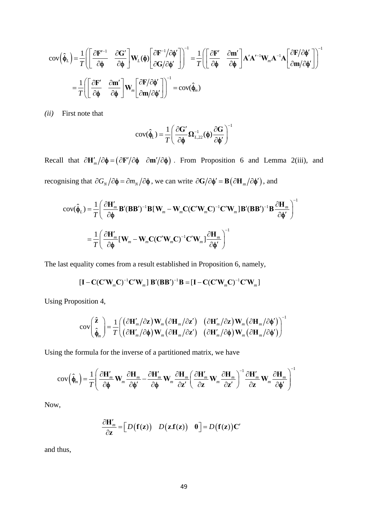$$
\begin{split} \text{cov}\Big(\hat{\boldsymbol{\phi}}_{L}\Big) &= \frac{1}{T} \Bigg[ \Bigg[ \frac{\partial \mathbf{F}'^{-1}}{\partial \boldsymbol{\phi}} \quad \frac{\partial \mathbf{G}'}{\partial \boldsymbol{\phi}} \Bigg] \mathbf{W}_{L}(\boldsymbol{\phi}) \Bigg[ \frac{\partial \mathbf{F}^{-1}}{\partial \mathbf{G}} / \partial \boldsymbol{\phi}^{\prime} \Bigg] \Bigg]^{-1} = \frac{1}{T} \Bigg[ \Bigg[ \frac{\partial \mathbf{F}'}{\partial \boldsymbol{\phi}} \quad \frac{\partial \mathbf{m}^{\prime}}{\partial \boldsymbol{\phi}} \Bigg] \mathbf{A}^{\prime} \mathbf{A}^{\prime -1} \mathbf{W}_{m} \mathbf{A}^{-1} \mathbf{A} \Bigg[ \frac{\partial \mathbf{F}^{\prime} \partial \boldsymbol{\phi}^{\prime}}{\partial \mathbf{m}} \Bigg] \Bigg]^{-1} \\ &= \frac{1}{T} \Bigg[ \Bigg[ \frac{\partial \mathbf{F}^{\prime}}{\partial \boldsymbol{\phi}} \quad \frac{\partial \mathbf{m}^{\prime}}{\partial \boldsymbol{\phi}} \Bigg] \mathbf{W}_{m} \Bigg[ \frac{\partial \mathbf{F}^{\prime} \partial \boldsymbol{\phi}^{\prime}}{\partial \mathbf{m}} \Bigg] \Bigg]^{-1} = \text{cov}(\hat{\boldsymbol{\phi}}_{m}) \end{split}
$$

*(ii)* First note that

$$
cov(\hat{\phi}_L) = \frac{1}{T} \left( \frac{\partial \mathbf{G}'}{\partial \phi} \mathbf{\Omega}_{L,22}^{-1}(\phi) \frac{\partial \mathbf{G}}{\partial \phi'} \right)^{-1}
$$

Recall that  $\partial \mathbf{H}'_m / \partial \phi = (\partial \mathbf{F}'/\partial \phi \ \partial \mathbf{m}'/\partial \phi)$ . From Proposition 6 and Lemma 2(iii), and recognising that  $\partial G_N / \partial \phi = \partial m_N / \partial \phi$ , we can write  $\partial G / \partial \phi' = \mathbf{B} (\partial \mathbf{H}_m / \partial \phi')$ , and

$$
cov(\hat{\phi}_L) = \frac{1}{T} \left( \frac{\partial \mathbf{H}'_m}{\partial \phi} \mathbf{B}' (\mathbf{B} \mathbf{B}')^{-1} \mathbf{B} [\mathbf{W}_m - \mathbf{W}_m \mathbf{C} (\mathbf{C}' \mathbf{W}_m \mathbf{C})^{-1} \mathbf{C}' \mathbf{W}_m] \mathbf{B}' (\mathbf{B} \mathbf{B}')^{-1} \mathbf{B} \frac{\partial \mathbf{H}_m}{\partial \phi'} \right)^{-1}
$$

$$
= \frac{1}{T} \left( \frac{\partial \mathbf{H}'_m}{\partial \phi} [\mathbf{W}_m - \mathbf{W}_m \mathbf{C} (\mathbf{C}' \mathbf{W}_m \mathbf{C})^{-1} \mathbf{C}' \mathbf{W}_m] \frac{\partial \mathbf{H}_m}{\partial \phi'} \right)^{-1}
$$

The last equality comes from a result established in Proposition 6, namely,

$$
\left[\mathbf{I} - \mathbf{C}(\mathbf{C}'\mathbf{W}_{m}\mathbf{C})^{-1}\mathbf{C}'\mathbf{W}_{m}\right]\mathbf{B}'(\mathbf{B}\mathbf{B}')^{-1}\mathbf{B} = \left[\mathbf{I} - \mathbf{C}(\mathbf{C}'\mathbf{W}_{m}\mathbf{C})^{-1}\mathbf{C}'\mathbf{W}_{m}\right]
$$

Using Proposition 4,

$$
\text{cov}\left(\begin{matrix} \hat{\mathbf{z}} \\ \hat{\boldsymbol{\phi}}_m \end{matrix}\right) = \frac{1}{T} \left( \begin{matrix} (\partial \mathbf{H}'_m / \partial \mathbf{z}) \mathbf{W}_m (\partial \mathbf{H}_m / \partial \mathbf{z}') & (\partial \mathbf{H}'_m / \partial \mathbf{z}) \mathbf{W}_m (\partial \mathbf{H}_m / \partial \boldsymbol{\phi}') \\ (\partial \mathbf{H}'_m / \partial \boldsymbol{\phi}) \mathbf{W}_m (\partial \mathbf{H}_m / \partial \mathbf{z}') & (\partial \mathbf{H}'_m / \partial \boldsymbol{\phi}) \mathbf{W}_m (\partial \mathbf{H}_m / \partial \boldsymbol{\phi}') \end{matrix} \right)^{-1}
$$

Using the formula for the inverse of a partitioned matrix, we have

$$
\text{cov}\left(\hat{\phi}_m\right) = \frac{1}{T} \left( \frac{\partial \mathbf{H}'_m}{\partial \phi} \mathbf{W}_m \frac{\partial \mathbf{H}_m}{\partial \phi'} - \frac{\partial \mathbf{H}'_m}{\partial \phi} \mathbf{W}_m \frac{\partial \mathbf{H}_m}{\partial \mathbf{z}'} \left( \frac{\partial \mathbf{H}'_m}{\partial \mathbf{z}} \mathbf{W}_m \frac{\partial \mathbf{H}_m}{\partial \mathbf{z}'} \right)^{-1} \frac{\partial \mathbf{H}'_m}{\partial \mathbf{z}} \mathbf{W}_m \frac{\partial \mathbf{H}_m}{\partial \phi'} \right)^{-1}
$$

Now,

$$
\frac{\partial \mathbf{H}'_m}{\partial \mathbf{z}} = \left[ D(\mathbf{f}(\mathbf{z})) \quad D(\mathbf{z}.\mathbf{f}(\mathbf{z})) \quad 0 \right] = D(\mathbf{f}(\mathbf{z})) \mathbf{C}'
$$

and thus,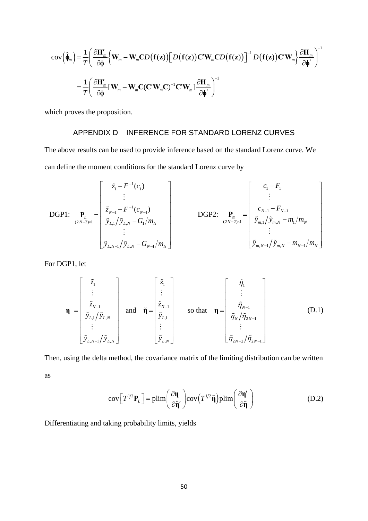$$
\begin{split} \text{cov}\Big(\hat{\phi}_{m}\Big) &= \frac{1}{T} \Bigg(\frac{\partial \mathbf{H}'_{m}}{\partial \phi} \Big\{\mathbf{W}_{m} - \mathbf{W}_{m} \mathbf{C} D\big(\mathbf{f}(\mathbf{z})\big) \Big[D\big(\mathbf{f}(\mathbf{z})\big) \mathbf{C}' \mathbf{W}_{m} \mathbf{C} D\big(\mathbf{f}(\mathbf{z})\big)\Big]^{-1} D\big(\mathbf{f}(\mathbf{z})\big) \mathbf{C}' \mathbf{W}_{m}\Big\} \frac{\partial \mathbf{H}_{m}}{\partial \phi'}\Bigg)^{-1} \\ &= \frac{1}{T} \Bigg(\frac{\partial \mathbf{H}'_{m}}{\partial \phi} \big[\mathbf{W}_{m} - \mathbf{W}_{m} \mathbf{C} (\mathbf{C}' \mathbf{W}_{m} \mathbf{C})^{-1} \mathbf{C}' \mathbf{W}_{m}\big] \frac{\partial \mathbf{H}_{m}}{\partial \phi'}\Bigg)^{-1} \end{split}
$$

which proves the proposition.

# APPENDIX D INFERENCE FOR STANDARD LORENZ CURVES

The above results can be used to provide inference based on the standard Lorenz curve. We can define the moment conditions for the standard Lorenz curve by

DGP1:

\n
$$
\mathbf{P}_{L} = \begin{bmatrix}\n\tilde{z}_{1} - F^{-1}(c_{1}) \\
\vdots \\
\tilde{z}_{N-1} - F^{-1}(c_{N-1}) \\
\tilde{y}_{L,1} / \tilde{y}_{L,N} - G_{1} / m_{N} \\
\vdots \\
\tilde{y}_{L,N-1} / \tilde{y}_{L,N} - G_{N-1} / m_{N}\n\end{bmatrix}
$$
\nDGP2:

\n
$$
\mathbf{P}_{m} = \begin{bmatrix}\nc_{1} - F_{1} \\
\vdots \\
c_{N-1} - F_{N-1} \\
\tilde{y}_{m,1} / \tilde{y}_{m,N} - m_{1} / m_{N} \\
\vdots \\
\tilde{y}_{m,N-1} / \tilde{y}_{m,N} - m_{N-1} / m_{N}\n\end{bmatrix}
$$

For DGP1, let

$$
\mathbf{\eta} = \begin{bmatrix} \tilde{z}_{1} \\ \vdots \\ \tilde{z}_{N-1} \\ \tilde{y}_{L,1} / \tilde{y}_{L,N} \\ \vdots \\ \tilde{y}_{L,N-1} / \tilde{y}_{L,N} \end{bmatrix} \text{ and } \tilde{\mathbf{\eta}} = \begin{bmatrix} \tilde{z}_{1} \\ \vdots \\ \tilde{z}_{N-1} \\ \tilde{y}_{L,1} \\ \vdots \\ \tilde{y}_{L,N} \end{bmatrix} \text{ so that } \mathbf{\eta} = \begin{bmatrix} \tilde{\eta}_{1} \\ \vdots \\ \tilde{\eta}_{N-1} \\ \tilde{\eta}_{N} / \tilde{\eta}_{2N-1} \\ \vdots \\ \tilde{\eta}_{2N-2} / \tilde{\eta}_{2N-1} \end{bmatrix} \tag{D.1}
$$

Then, using the delta method, the covariance matrix of the limiting distribution can be written as

cov
$$
\left[T^{1/2}\mathbf{P}_L\right]
$$
 = plim $\left(\frac{\partial \mathbf{\eta}}{\partial \tilde{\mathbf{\eta}}'}\right)$ cov $\left(T^{1/2}\tilde{\mathbf{\eta}}\right)$ plim $\left(\frac{\partial \mathbf{\eta}'}{\partial \tilde{\mathbf{\eta}}}\right)$  (D.2)

Differentiating and taking probability limits, yields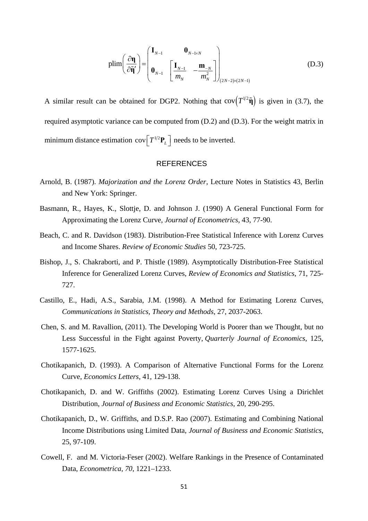$$
\text{plim}\left(\frac{\partial \mathbf{\eta}}{\partial \mathbf{\tilde{\eta}}'}\right) = \begin{pmatrix} \mathbf{I}_{N-1} & \mathbf{0}_{N-1 \times N} \\ \mathbf{0}_{N-1} & \begin{bmatrix} \mathbf{I}_{N-1} & -\mathbf{m}_{-N} \\ m_N & m_N^2 \end{bmatrix} \end{pmatrix}_{(2N-2)\times(2N-1)}
$$
(D.3)

A similar result can be obtained for DGP2. Nothing that  $cov(T^{1/2}\tilde{\eta})$  is given in (3.7), the required asymptotic variance can be computed from (D.2) and (D.3). For the weight matrix in minimum distance estimation  $cov[T^{1/2}P_L]$  needs to be inverted.

# **REFERENCES**

- Arnold, B. (1987). *Majorization and the Lorenz Order*, Lecture Notes in Statistics 43, Berlin and New York: Springer.
- Basmann, R., Hayes, K., Slottje, D. and Johnson J. (1990) A General Functional Form for Approximating the Lorenz Curve, *Journal of Econometrics*, 43, 77-90.
- Beach, C. and R. Davidson (1983). Distribution-Free Statistical Inference with Lorenz Curves and Income Shares. *Review of Economic Studies* 50, 723-725.
- Bishop, J., S. Chakraborti, and P. Thistle (1989). Asymptotically Distribution-Free Statistical Inference for Generalized Lorenz Curves, *Review of Economics and Statistics*, 71, 725- 727.
- Castillo, E., Hadi, A.S., Sarabia, J.M. (1998). A Method for Estimating Lorenz Curves, *Communications in Statistics, Theory and Methods*, 27, 2037-2063.
- Chen, S. and M. Ravallion, (2011). The Developing World is Poorer than we Thought, but no Less Successful in the Fight against Poverty, *Quarterly Journal of Economics*, 125, 1577-1625.
- Chotikapanich, D. (1993). A Comparison of Alternative Functional Forms for the Lorenz Curve, *Economics Letters*, 41, 129-138.
- Chotikapanich, D. and W. Griffiths (2002). Estimating Lorenz Curves Using a Dirichlet Distribution, *Journal of Business and Economic Statistics*, 20, 290-295.
- Chotikapanich, D., W. Griffiths, and D.S.P. Rao (2007). Estimating and Combining National Income Distributions using Limited Data, *Journal of Business and Economic Statistics*, 25, 97-109.
- Cowell, F. and M. Victoria-Feser (2002). Welfare Rankings in the Presence of Contaminated Data, *Econometrica, 70*, 1221–1233.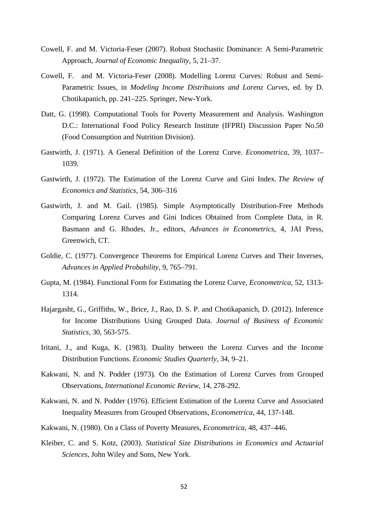- Cowell, F. and M. Victoria-Feser (2007). Robust Stochastic Dominance: A Semi-Parametric Approach, *Journal of Economic Inequality,* 5, 21–37.
- Cowell, F. and M. Victoria-Feser (2008). Modelling Lorenz Curves: Robust and Semi-Parametric Issues, in *Modeling Income Distribuions and Lorenz Curves*, ed. by D. Chotikapanich, pp. 241–225. Springer, New-York.
- Datt, G. (1998). Computational Tools for Poverty Measurement and Analysis. Washington D.C.: International Food Policy Research Institute (IFPRI) Discussion Paper No.50 (Food Consumption and Nutrition Division).
- Gastwirth, J. (1971). A General Definition of the Lorenz Curve. *Econometrica*, 39, 1037– 1039.
- Gastwirth, J. (1972). The Estimation of the Lorenz Curve and Gini Index. *The Review of Economics and Statistics*, 54, 306–316
- Gastwirth, J. and M. Gail. (1985). Simple Asymptotically Distribution-Free Methods Comparing Lorenz Curves and Gini Indices Obtained from Complete Data, in R. Basmann and G. Rhodes, Jr., editors, *Advances in Econometrics*, 4, JAI Press, Greenwich, CT.
- Goldie, C. (1977). Convergence Theorems for Empirical Lorenz Curves and Their Inverses, *Advances in Applied Probability*, 9, 765–791.
- Gupta, M. (1984). Functional Form for Estimating the Lorenz Curve, *Econometrica*, 52, 1313- 1314.
- Hajargasht, G., Griffiths, W., Brice, J., Rao, D. S. P. and Chotikapanich, D. (2012). Inference for Income Distributions Using Grouped Data. *Journal of Business of Economic Statistics*, 30, 563-575.
- Iritani, J., and Kuga, K. (1983). Duality between the Lorenz Curves and the Income Distribution Functions. *Economic Studies Quarterly*, 34, 9–21.
- Kakwani, N. and N. Podder (1973). On the Estimation of Lorenz Curves from Grouped Observations, *International Economic Review*, 14, 278-292.
- Kakwani, N. and N. Podder (1976). Efficient Estimation of the Lorenz Curve and Associated Inequality Measures from Grouped Observations, *Econometrica*, 44, 137-148.
- Kakwani, N. (1980). On a Class of Poverty Measures, *Econometrica*, 48, 437–446.
- Kleiber, C. and S. Kotz, (2003). *Statistical Size Distributions in Economics and Actuarial Sciences*, John Wiley and Sons, New York.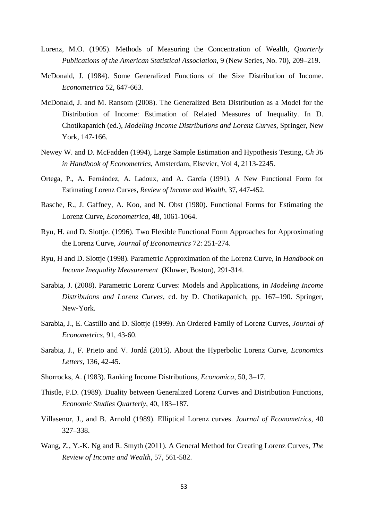- Lorenz, M.O. (1905). Methods of Measuring the Concentration of Wealth, *Quarterly Publications of the American Statistical Association*, 9 (New Series, No. 70), 209–219.
- McDonald, J. (1984). Some Generalized Functions of the Size Distribution of Income. *Econometrica* 52, 647-663.
- McDonald, J. and M. Ransom (2008). The Generalized Beta Distribution as a Model for the Distribution of Income: Estimation of Related Measures of Inequality. In D. Chotikapanich (ed.), *Modeling Income Distributions and Lorenz Curves*, Springer, New York, 147-166.
- Newey W. and D. McFadden (1994), Large Sample Estimation and Hypothesis Testing, *Ch 36 in Handbook of Econometrics*, Amsterdam, Elsevier, Vol 4, 2113-2245.
- Ortega, P., A. Fernández, A. Ladoux, and A. García (1991). A New Functional Form for Estimating Lorenz Curves, *Review of Income and Wealth,* 37, 447-452.
- Rasche, R., J. Gaffney, A. Koo, and N. Obst (1980). Functional Forms for Estimating the Lorenz Curve, *Econometrica*, 48, 1061-1064.
- Ryu, H. and D. Slottje. (1996). Two Flexible Functional Form Approaches for Approximating the Lorenz Curve, *Journal of Econometrics* 72: 251-274.
- Ryu, H and D. Slottje (1998). Parametric Approximation of the Lorenz Curve, in *Handbook on Income Inequality Measurement* (Kluwer, Boston), 291-314.
- Sarabia, J. (2008). Parametric Lorenz Curves: Models and Applications, in *Modeling Income Distribuions and Lorenz Curves*, ed. by D. Chotikapanich, pp. 167–190. Springer, New-York.
- Sarabia, J., E. Castillo and D. Slottje (1999). An Ordered Family of Lorenz Curves, *Journal of Econometrics*, 91, 43-60.
- Sarabia, J., F. Prieto and V. Jordá (2015). About the Hyperbolic Lorenz Curve, *Economics Letters*, 136, 42-45.
- Shorrocks, A. (1983). Ranking Income Distributions, *Economica,* 50, 3–17.
- Thistle, P.D. (1989). Duality between Generalized Lorenz Curves and Distribution Functions, *Economic Studies Quarterly*, 40, 183–187.
- Villasenor, J., and B. Arnold (1989). Elliptical Lorenz curves. *Journal of Econometrics,* 40 327–338.
- Wang, Z., Y.-K. Ng and R. Smyth (2011). A General Method for Creating Lorenz Curves, *The Review of Income and Wealth*, 57, 561-582.